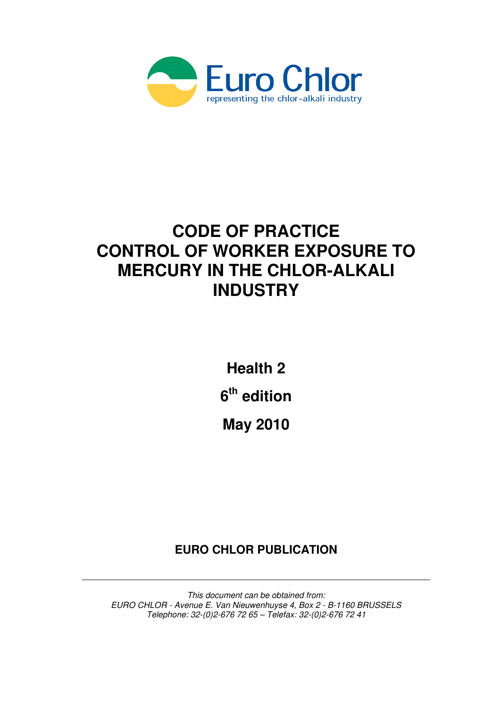

# **CODE OF PRACTICE CONTROL OF WORKER EXPOSURE TO MERCURY IN THE CHLOR-ALKALI INDUSTRY**

**Health 2 6 th edition May 2010** 

## **EURO CHLOR PUBLICATION**

This document can be obtained from: EURO CHLOR - Avenue E. Van Nieuwenhuyse 4, Box 2 - B-1160 BRUSSELS Telephone: 32-(0)2-676 72 65 – Telefax: 32-(0)2-676 72 41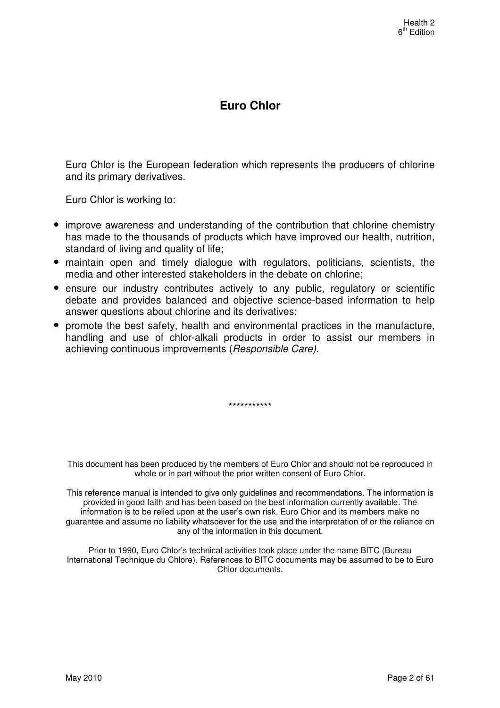## **Euro Chlor**

Euro Chlor is the European federation which represents the producers of chlorine and its primary derivatives.

Euro Chlor is working to:

- improve awareness and understanding of the contribution that chlorine chemistry has made to the thousands of products which have improved our health, nutrition, standard of living and quality of life;
- maintain open and timely dialogue with regulators, politicians, scientists, the media and other interested stakeholders in the debate on chlorine;
- ensure our industry contributes actively to any public, regulatory or scientific debate and provides balanced and objective science-based information to help answer questions about chlorine and its derivatives;
- promote the best safety, health and environmental practices in the manufacture, handling and use of chlor-alkali products in order to assist our members in achieving continuous improvements (Responsible Care).

\*\*\*\*\*\*\*\*\*\*\*

This document has been produced by the members of Euro Chlor and should not be reproduced in whole or in part without the prior written consent of Euro Chlor.

This reference manual is intended to give only guidelines and recommendations. The information is provided in good faith and has been based on the best information currently available. The information is to be relied upon at the user's own risk. Euro Chlor and its members make no guarantee and assume no liability whatsoever for the use and the interpretation of or the reliance on any of the information in this document.

Prior to 1990, Euro Chlor's technical activities took place under the name BITC (Bureau International Technique du Chlore). References to BITC documents may be assumed to be to Euro Chlor documents.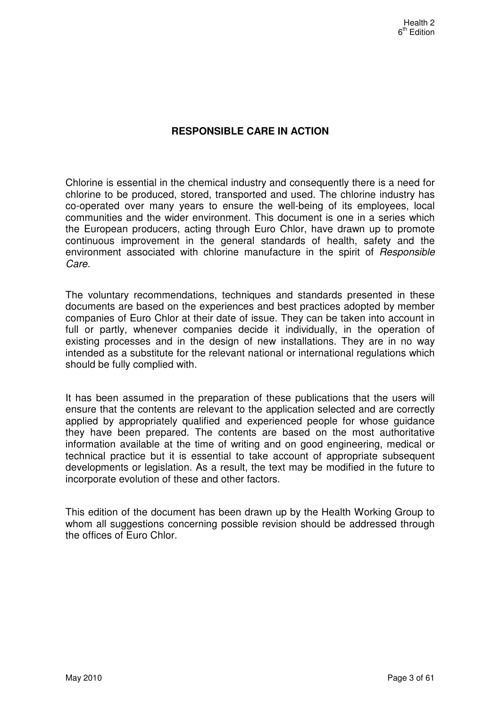#### **RESPONSIBLE CARE IN ACTION**

Chlorine is essential in the chemical industry and consequently there is a need for chlorine to be produced, stored, transported and used. The chlorine industry has co-operated over many years to ensure the well-being of its employees, local communities and the wider environment. This document is one in a series which the European producers, acting through Euro Chlor, have drawn up to promote continuous improvement in the general standards of health, safety and the environment associated with chlorine manufacture in the spirit of Responsible Care.

The voluntary recommendations, techniques and standards presented in these documents are based on the experiences and best practices adopted by member companies of Euro Chlor at their date of issue. They can be taken into account in full or partly, whenever companies decide it individually, in the operation of existing processes and in the design of new installations. They are in no way intended as a substitute for the relevant national or international regulations which should be fully complied with.

It has been assumed in the preparation of these publications that the users will ensure that the contents are relevant to the application selected and are correctly applied by appropriately qualified and experienced people for whose guidance they have been prepared. The contents are based on the most authoritative information available at the time of writing and on good engineering, medical or technical practice but it is essential to take account of appropriate subsequent developments or legislation. As a result, the text may be modified in the future to incorporate evolution of these and other factors.

This edition of the document has been drawn up by the Health Working Group to whom all suggestions concerning possible revision should be addressed through the offices of Euro Chlor.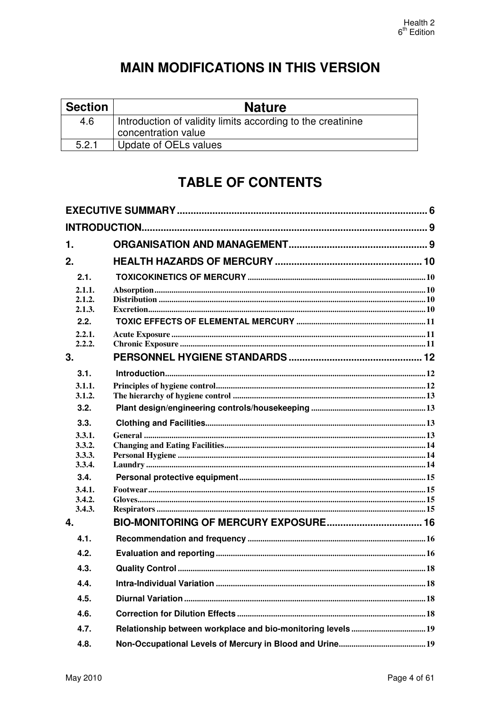# **MAIN MODIFICATIONS IN THIS VERSION**

| <b>Section</b> | <b>Nature</b>                                                                      |
|----------------|------------------------------------------------------------------------------------|
| 4.6            | Introduction of validity limits according to the creatinine<br>concentration value |
| 5.2.1          | Update of OELs values                                                              |

# **TABLE OF CONTENTS**

| 1.                                                                   |                                                              |
|----------------------------------------------------------------------|--------------------------------------------------------------|
| 2.                                                                   |                                                              |
| 2.1.<br>2.1.1.<br>2.1.2.<br>2.1.3.<br>2.2.<br>2.2.1.<br>2.2.2.<br>3. |                                                              |
| 3.1.                                                                 |                                                              |
| 3.1.1.<br>3.1.2.<br>3.2.                                             |                                                              |
| 3.3.                                                                 |                                                              |
| 3.3.1.<br>3.3.2.<br>3.3.3.<br>3.3.4.                                 |                                                              |
| 3.4.                                                                 |                                                              |
| 3.4.1.<br>3.4.2.<br>3.4.3.<br>$\overline{4}$ .                       |                                                              |
| 4.1.                                                                 |                                                              |
| 4.2.                                                                 |                                                              |
| 4.3.                                                                 |                                                              |
| 4.4.                                                                 |                                                              |
| 4.5.                                                                 |                                                              |
| 4.6.                                                                 |                                                              |
| 4.7.                                                                 | Relationship between workplace and bio-monitoring levels  19 |
| 4.8.                                                                 |                                                              |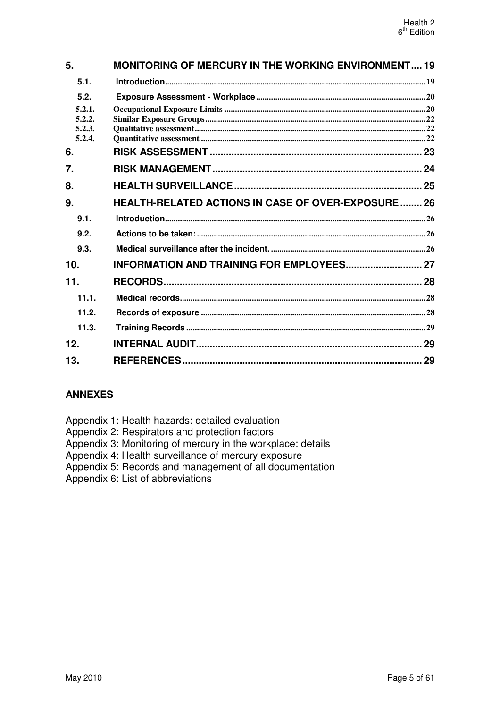| 5.               | <b>MONITORING OF MERCURY IN THE WORKING ENVIRONMENT 19</b> |  |
|------------------|------------------------------------------------------------|--|
| 5.1.             |                                                            |  |
| 5.2.             |                                                            |  |
| 5.2.1.           |                                                            |  |
| 5.2.2.           |                                                            |  |
| 5.2.3.<br>5.2.4. |                                                            |  |
| 6.               |                                                            |  |
| 7.               |                                                            |  |
| 8.               |                                                            |  |
| 9.               | <b>HEALTH-RELATED ACTIONS IN CASE OF OVER-EXPOSURE  26</b> |  |
| 9.1.             |                                                            |  |
| 9.2.             |                                                            |  |
| 9.3.             |                                                            |  |
| 10.              |                                                            |  |
| 11.              |                                                            |  |
| 11.1.            |                                                            |  |
| 11.2.            |                                                            |  |
| 11.3.            |                                                            |  |
| 12.              |                                                            |  |
| 13.              |                                                            |  |

### **ANNEXES**

- Appendix 1: Health hazards: detailed evaluation
- Appendix 2: Respirators and protection factors
- Appendix 3: Monitoring of mercury in the workplace: details
- Appendix 4: Health surveillance of mercury exposure
- Appendix 5: Records and management of all documentation
- Appendix 6: List of abbreviations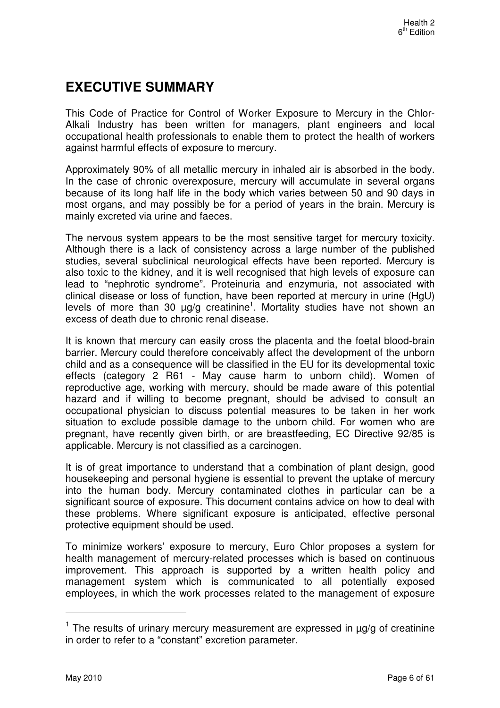## **EXECUTIVE SUMMARY**

This Code of Practice for Control of Worker Exposure to Mercury in the Chlor-Alkali Industry has been written for managers, plant engineers and local occupational health professionals to enable them to protect the health of workers against harmful effects of exposure to mercury.

Approximately 90% of all metallic mercury in inhaled air is absorbed in the body. In the case of chronic overexposure, mercury will accumulate in several organs because of its long half life in the body which varies between 50 and 90 days in most organs, and may possibly be for a period of years in the brain. Mercury is mainly excreted via urine and faeces.

The nervous system appears to be the most sensitive target for mercury toxicity. Although there is a lack of consistency across a large number of the published studies, several subclinical neurological effects have been reported. Mercury is also toxic to the kidney, and it is well recognised that high levels of exposure can lead to "nephrotic syndrome". Proteinuria and enzymuria, not associated with clinical disease or loss of function, have been reported at mercury in urine (HgU) levels of more than 30  $\mu$ g/g creatinine<sup>1</sup>. Mortality studies have not shown an excess of death due to chronic renal disease.

It is known that mercury can easily cross the placenta and the foetal blood-brain barrier. Mercury could therefore conceivably affect the development of the unborn child and as a consequence will be classified in the EU for its developmental toxic effects (category 2 R61 - May cause harm to unborn child). Women of reproductive age, working with mercury, should be made aware of this potential hazard and if willing to become pregnant, should be advised to consult an occupational physician to discuss potential measures to be taken in her work situation to exclude possible damage to the unborn child. For women who are pregnant, have recently given birth, or are breastfeeding, EC Directive 92/85 is applicable. Mercury is not classified as a carcinogen.

It is of great importance to understand that a combination of plant design, good housekeeping and personal hygiene is essential to prevent the uptake of mercury into the human body. Mercury contaminated clothes in particular can be a significant source of exposure. This document contains advice on how to deal with these problems. Where significant exposure is anticipated, effective personal protective equipment should be used.

To minimize workers' exposure to mercury, Euro Chlor proposes a system for health management of mercury-related processes which is based on continuous improvement. This approach is supported by a written health policy and management system which is communicated to all potentially exposed employees, in which the work processes related to the management of exposure

 $\overline{a}$ 

<sup>&</sup>lt;sup>1</sup> The results of urinary mercury measurement are expressed in  $\mu$ g/g of creatinine in order to refer to a "constant" excretion parameter.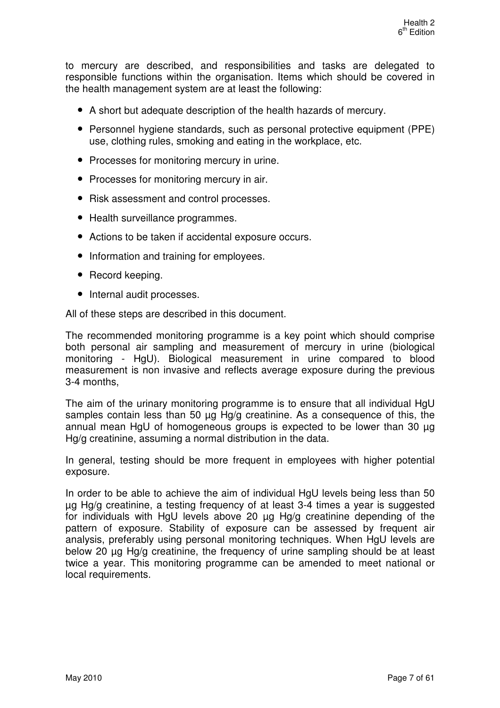to mercury are described, and responsibilities and tasks are delegated to responsible functions within the organisation. Items which should be covered in the health management system are at least the following:

- A short but adequate description of the health hazards of mercury.
- Personnel hygiene standards, such as personal protective equipment (PPE) use, clothing rules, smoking and eating in the workplace, etc.
- Processes for monitoring mercury in urine.
- Processes for monitoring mercury in air.
- Risk assessment and control processes.
- Health surveillance programmes.
- Actions to be taken if accidental exposure occurs.
- Information and training for employees.
- Record keeping.
- Internal audit processes.

All of these steps are described in this document.

The recommended monitoring programme is a key point which should comprise both personal air sampling and measurement of mercury in urine (biological monitoring - HgU). Biological measurement in urine compared to blood measurement is non invasive and reflects average exposure during the previous 3-4 months,

The aim of the urinary monitoring programme is to ensure that all individual HgU samples contain less than 50 µg Hg/g creatinine. As a consequence of this, the annual mean HgU of homogeneous groups is expected to be lower than 30 µg Hg/g creatinine, assuming a normal distribution in the data.

In general, testing should be more frequent in employees with higher potential exposure.

In order to be able to achieve the aim of individual HgU levels being less than 50 µg Hg/g creatinine, a testing frequency of at least 3-4 times a year is suggested for individuals with HgU levels above 20 µg Hg/g creatinine depending of the pattern of exposure. Stability of exposure can be assessed by frequent air analysis, preferably using personal monitoring techniques. When HgU levels are below 20 µg Hg/g creatinine, the frequency of urine sampling should be at least twice a year. This monitoring programme can be amended to meet national or local requirements.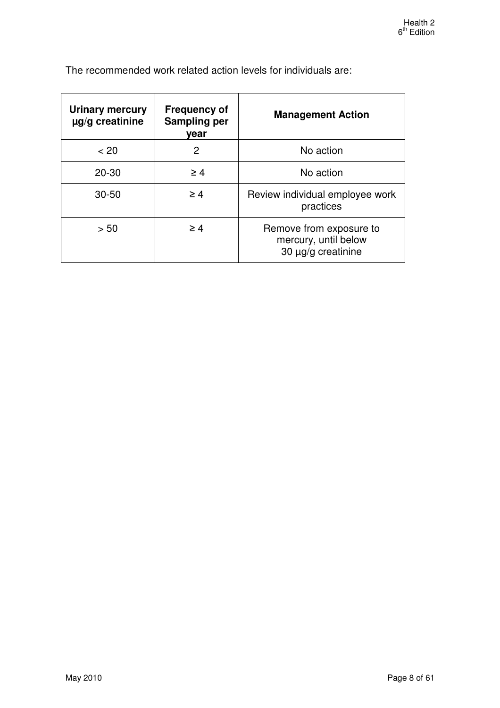| <b>Urinary mercury</b><br>$\mu$ g/g creatinine | <b>Frequency of</b><br><b>Sampling per</b><br>year | <b>Management Action</b>                                              |
|------------------------------------------------|----------------------------------------------------|-----------------------------------------------------------------------|
| < 20                                           | 2                                                  | No action                                                             |
| $20 - 30$                                      | $\geq 4$                                           | No action                                                             |
| $30 - 50$                                      | $\geq 4$                                           | Review individual employee work<br>practices                          |
| > 50                                           | $\geq 4$                                           | Remove from exposure to<br>mercury, until below<br>30 µg/g creatinine |

The recommended work related action levels for individuals are: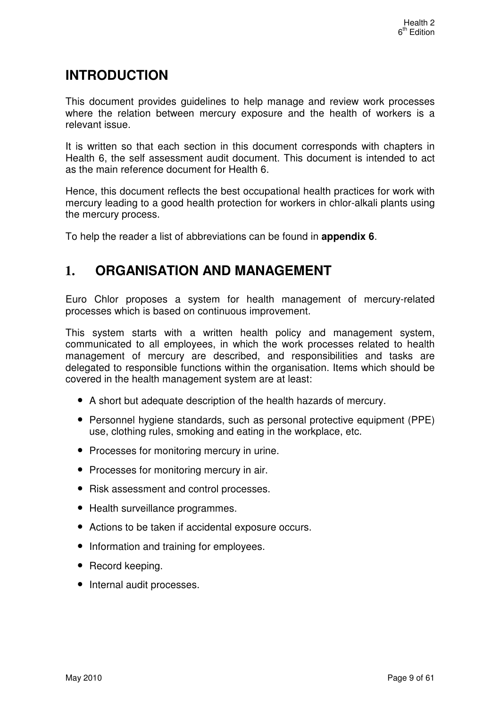## **INTRODUCTION**

This document provides guidelines to help manage and review work processes where the relation between mercury exposure and the health of workers is a relevant issue.

It is written so that each section in this document corresponds with chapters in Health 6, the self assessment audit document. This document is intended to act as the main reference document for Health 6.

Hence, this document reflects the best occupational health practices for work with mercury leading to a good health protection for workers in chlor-alkali plants using the mercury process.

To help the reader a list of abbreviations can be found in **appendix 6**.

## **1. ORGANISATION AND MANAGEMENT**

Euro Chlor proposes a system for health management of mercury-related processes which is based on continuous improvement.

This system starts with a written health policy and management system, communicated to all employees, in which the work processes related to health management of mercury are described, and responsibilities and tasks are delegated to responsible functions within the organisation. Items which should be covered in the health management system are at least:

- A short but adequate description of the health hazards of mercury.
- Personnel hygiene standards, such as personal protective equipment (PPE) use, clothing rules, smoking and eating in the workplace, etc.
- Processes for monitoring mercury in urine.
- Processes for monitoring mercury in air.
- Risk assessment and control processes.
- Health surveillance programmes.
- Actions to be taken if accidental exposure occurs.
- Information and training for employees.
- Record keeping.
- Internal audit processes.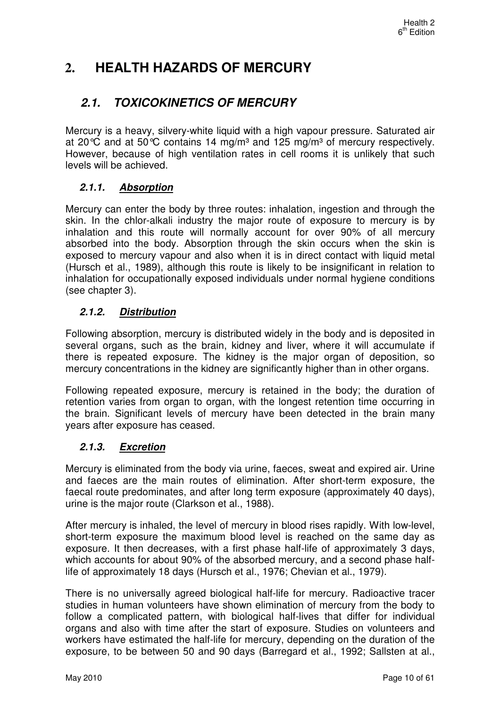## **2. HEALTH HAZARDS OF MERCURY**

## **2.1. TOXICOKINETICS OF MERCURY**

Mercury is a heavy, silvery-white liquid with a high vapour pressure. Saturated air at 20 $\degree$ C and at 50 $\degree$ C contains 14 mg/m<sup>3</sup> and 125 mg/m<sup>3</sup> of mercury respectively. However, because of high ventilation rates in cell rooms it is unlikely that such levels will be achieved.

### **2.1.1. Absorption**

Mercury can enter the body by three routes: inhalation, ingestion and through the skin. In the chlor-alkali industry the major route of exposure to mercury is by inhalation and this route will normally account for over 90% of all mercury absorbed into the body. Absorption through the skin occurs when the skin is exposed to mercury vapour and also when it is in direct contact with liquid metal (Hursch et al., 1989), although this route is likely to be insignificant in relation to inhalation for occupationally exposed individuals under normal hygiene conditions (see chapter 3).

### **2.1.2. Distribution**

Following absorption, mercury is distributed widely in the body and is deposited in several organs, such as the brain, kidney and liver, where it will accumulate if there is repeated exposure. The kidney is the major organ of deposition, so mercury concentrations in the kidney are significantly higher than in other organs.

Following repeated exposure, mercury is retained in the body; the duration of retention varies from organ to organ, with the longest retention time occurring in the brain. Significant levels of mercury have been detected in the brain many years after exposure has ceased.

### **2.1.3. Excretion**

Mercury is eliminated from the body via urine, faeces, sweat and expired air. Urine and faeces are the main routes of elimination. After short-term exposure, the faecal route predominates, and after long term exposure (approximately 40 days), urine is the major route (Clarkson et al., 1988).

After mercury is inhaled, the level of mercury in blood rises rapidly. With low-level, short-term exposure the maximum blood level is reached on the same day as exposure. It then decreases, with a first phase half-life of approximately 3 days, which accounts for about 90% of the absorbed mercury, and a second phase halflife of approximately 18 days (Hursch et al., 1976; Chevian et al., 1979).

There is no universally agreed biological half-life for mercury. Radioactive tracer studies in human volunteers have shown elimination of mercury from the body to follow a complicated pattern, with biological half-lives that differ for individual organs and also with time after the start of exposure. Studies on volunteers and workers have estimated the half-life for mercury, depending on the duration of the exposure, to be between 50 and 90 days (Barregard et al., 1992; Sallsten at al.,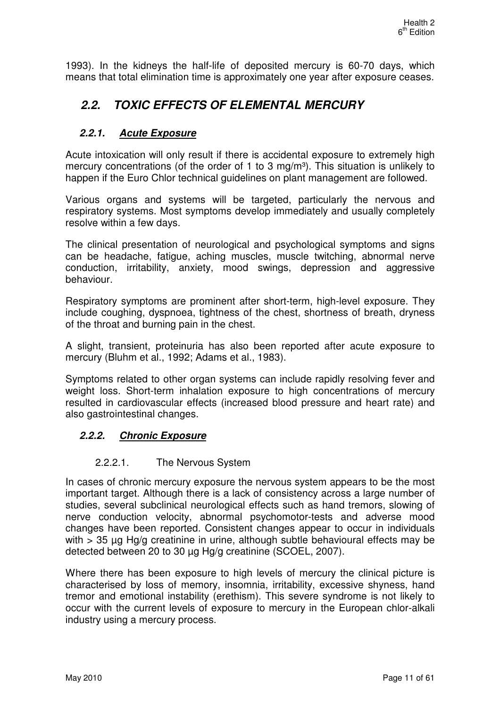1993). In the kidneys the half-life of deposited mercury is 60-70 days, which means that total elimination time is approximately one year after exposure ceases.

## **2.2. TOXIC EFFECTS OF ELEMENTAL MERCURY**

#### **2.2.1. Acute Exposure**

Acute intoxication will only result if there is accidental exposure to extremely high mercury concentrations (of the order of 1 to 3 mg/m<sup>3</sup>). This situation is unlikely to happen if the Euro Chlor technical guidelines on plant management are followed.

Various organs and systems will be targeted, particularly the nervous and respiratory systems. Most symptoms develop immediately and usually completely resolve within a few days.

The clinical presentation of neurological and psychological symptoms and signs can be headache, fatigue, aching muscles, muscle twitching, abnormal nerve conduction, irritability, anxiety, mood swings, depression and aggressive behaviour.

Respiratory symptoms are prominent after short-term, high-level exposure. They include coughing, dyspnoea, tightness of the chest, shortness of breath, dryness of the throat and burning pain in the chest.

A slight, transient, proteinuria has also been reported after acute exposure to mercury (Bluhm et al., 1992; Adams et al., 1983).

Symptoms related to other organ systems can include rapidly resolving fever and weight loss. Short-term inhalation exposure to high concentrations of mercury resulted in cardiovascular effects (increased blood pressure and heart rate) and also gastrointestinal changes.

#### **2.2.2. Chronic Exposure**

#### 2.2.2.1. The Nervous System

In cases of chronic mercury exposure the nervous system appears to be the most important target. Although there is a lack of consistency across a large number of studies, several subclinical neurological effects such as hand tremors, slowing of nerve conduction velocity, abnormal psychomotor-tests and adverse mood changes have been reported. Consistent changes appear to occur in individuals with > 35 µg Hg/g creatinine in urine, although subtle behavioural effects may be detected between 20 to 30 µg Hg/g creatinine (SCOEL, 2007).

Where there has been exposure to high levels of mercury the clinical picture is characterised by loss of memory, insomnia, irritability, excessive shyness, hand tremor and emotional instability (erethism). This severe syndrome is not likely to occur with the current levels of exposure to mercury in the European chlor-alkali industry using a mercury process.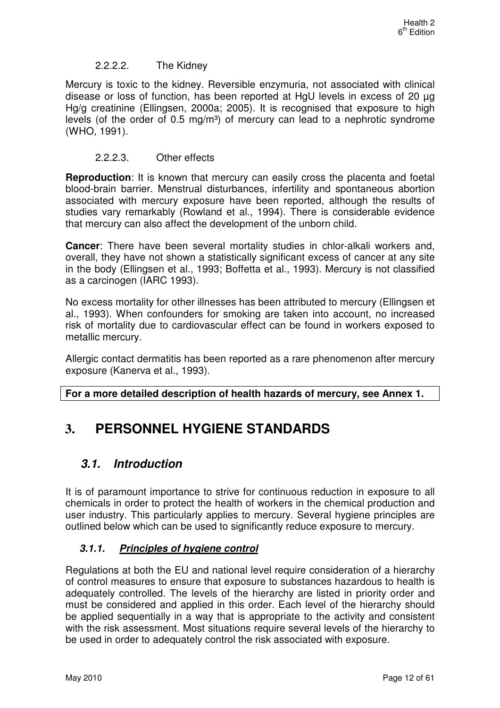#### 2.2.2.2. The Kidney

Mercury is toxic to the kidney. Reversible enzymuria, not associated with clinical disease or loss of function, has been reported at HgU levels in excess of 20 µg Hg/g creatinine (Ellingsen, 2000a; 2005). It is recognised that exposure to high levels (of the order of 0.5 mg/m<sup>3</sup>) of mercury can lead to a nephrotic syndrome (WHO, 1991).

#### 2.2.2.3. Other effects

**Reproduction**: It is known that mercury can easily cross the placenta and foetal blood-brain barrier. Menstrual disturbances, infertility and spontaneous abortion associated with mercury exposure have been reported, although the results of studies vary remarkably (Rowland et al., 1994). There is considerable evidence that mercury can also affect the development of the unborn child.

**Cancer**: There have been several mortality studies in chlor-alkali workers and, overall, they have not shown a statistically significant excess of cancer at any site in the body (Ellingsen et al., 1993; Boffetta et al., 1993). Mercury is not classified as a carcinogen (IARC 1993).

No excess mortality for other illnesses has been attributed to mercury (Ellingsen et al., 1993). When confounders for smoking are taken into account, no increased risk of mortality due to cardiovascular effect can be found in workers exposed to metallic mercury.

Allergic contact dermatitis has been reported as a rare phenomenon after mercury exposure (Kanerva et al., 1993).

### **For a more detailed description of health hazards of mercury, see Annex 1.**

## **3. PERSONNEL HYGIENE STANDARDS**

### **3.1. Introduction**

It is of paramount importance to strive for continuous reduction in exposure to all chemicals in order to protect the health of workers in the chemical production and user industry. This particularly applies to mercury. Several hygiene principles are outlined below which can be used to significantly reduce exposure to mercury.

### **3.1.1. Principles of hygiene control**

Regulations at both the EU and national level require consideration of a hierarchy of control measures to ensure that exposure to substances hazardous to health is adequately controlled. The levels of the hierarchy are listed in priority order and must be considered and applied in this order. Each level of the hierarchy should be applied sequentially in a way that is appropriate to the activity and consistent with the risk assessment. Most situations require several levels of the hierarchy to be used in order to adequately control the risk associated with exposure.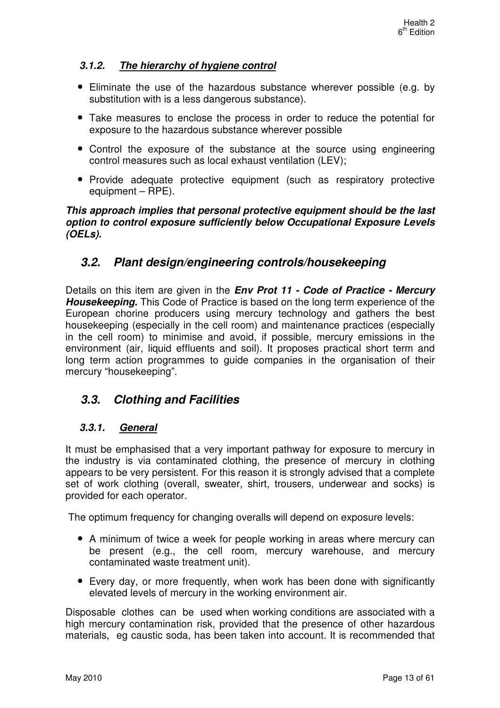### **3.1.2. The hierarchy of hygiene control**

- Eliminate the use of the hazardous substance wherever possible (e.g. by substitution with is a less dangerous substance).
- Take measures to enclose the process in order to reduce the potential for exposure to the hazardous substance wherever possible
- Control the exposure of the substance at the source using engineering control measures such as local exhaust ventilation (LEV);
- Provide adequate protective equipment (such as respiratory protective equipment – RPE).

#### **This approach implies that personal protective equipment should be the last option to control exposure sufficiently below Occupational Exposure Levels (OELs).**

### **3.2. Plant design/engineering controls/housekeeping**

Details on this item are given in the **Env Prot 11 - Code of Practice - Mercury Housekeeping.** This Code of Practice is based on the long term experience of the European chorine producers using mercury technology and gathers the best housekeeping (especially in the cell room) and maintenance practices (especially in the cell room) to minimise and avoid, if possible, mercury emissions in the environment (air, liquid effluents and soil). It proposes practical short term and long term action programmes to guide companies in the organisation of their mercury "housekeeping".

## **3.3. Clothing and Facilities**

### **3.3.1. General**

It must be emphasised that a very important pathway for exposure to mercury in the industry is via contaminated clothing, the presence of mercury in clothing appears to be very persistent. For this reason it is strongly advised that a complete set of work clothing (overall, sweater, shirt, trousers, underwear and socks) is provided for each operator.

The optimum frequency for changing overalls will depend on exposure levels:

- A minimum of twice a week for people working in areas where mercury can be present (e.g., the cell room, mercury warehouse, and mercury contaminated waste treatment unit).
- Every day, or more frequently, when work has been done with significantly elevated levels of mercury in the working environment air.

Disposable clothes can be used when working conditions are associated with a high mercury contamination risk, provided that the presence of other hazardous materials, eg caustic soda, has been taken into account. It is recommended that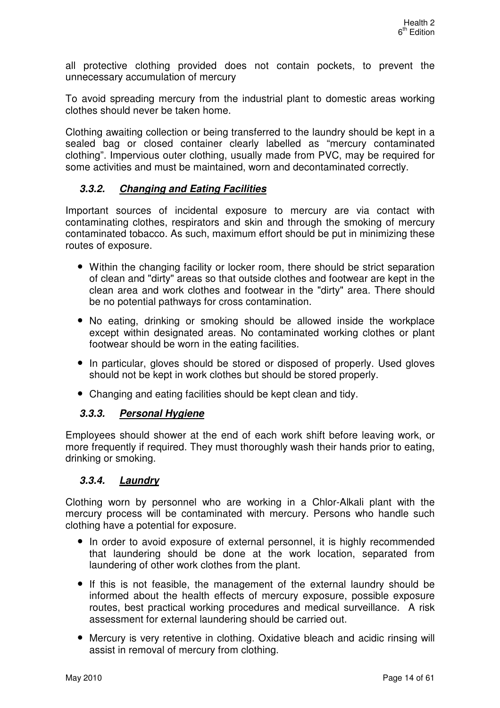all protective clothing provided does not contain pockets, to prevent the unnecessary accumulation of mercury

To avoid spreading mercury from the industrial plant to domestic areas working clothes should never be taken home.

Clothing awaiting collection or being transferred to the laundry should be kept in a sealed bag or closed container clearly labelled as "mercury contaminated clothing". Impervious outer clothing, usually made from PVC, may be required for some activities and must be maintained, worn and decontaminated correctly.

### **3.3.2. Changing and Eating Facilities**

Important sources of incidental exposure to mercury are via contact with contaminating clothes, respirators and skin and through the smoking of mercury contaminated tobacco. As such, maximum effort should be put in minimizing these routes of exposure.

- Within the changing facility or locker room, there should be strict separation of clean and "dirty" areas so that outside clothes and footwear are kept in the clean area and work clothes and footwear in the "dirty" area. There should be no potential pathways for cross contamination.
- No eating, drinking or smoking should be allowed inside the workplace except within designated areas. No contaminated working clothes or plant footwear should be worn in the eating facilities.
- In particular, gloves should be stored or disposed of properly. Used gloves should not be kept in work clothes but should be stored properly.
- Changing and eating facilities should be kept clean and tidy.

### **3.3.3. Personal Hygiene**

Employees should shower at the end of each work shift before leaving work, or more frequently if required. They must thoroughly wash their hands prior to eating. drinking or smoking.

#### **3.3.4. Laundry**

Clothing worn by personnel who are working in a Chlor-Alkali plant with the mercury process will be contaminated with mercury. Persons who handle such clothing have a potential for exposure.

- In order to avoid exposure of external personnel, it is highly recommended that laundering should be done at the work location, separated from laundering of other work clothes from the plant.
- If this is not feasible, the management of the external laundry should be informed about the health effects of mercury exposure, possible exposure routes, best practical working procedures and medical surveillance. A risk assessment for external laundering should be carried out.
- Mercury is very retentive in clothing. Oxidative bleach and acidic rinsing will assist in removal of mercury from clothing.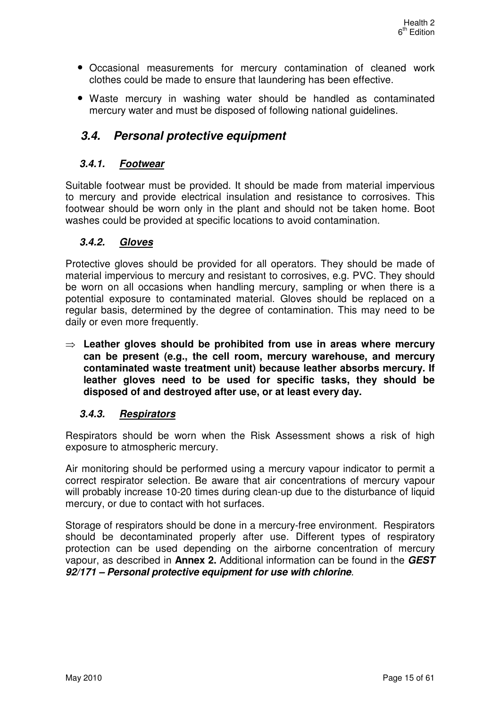- Occasional measurements for mercury contamination of cleaned work clothes could be made to ensure that laundering has been effective.
- Waste mercury in washing water should be handled as contaminated mercury water and must be disposed of following national guidelines.

## **3.4. Personal protective equipment**

#### **3.4.1. Footwear**

Suitable footwear must be provided. It should be made from material impervious to mercury and provide electrical insulation and resistance to corrosives. This footwear should be worn only in the plant and should not be taken home. Boot washes could be provided at specific locations to avoid contamination.

#### **3.4.2. Gloves**

Protective gloves should be provided for all operators. They should be made of material impervious to mercury and resistant to corrosives, e.g. PVC. They should be worn on all occasions when handling mercury, sampling or when there is a potential exposure to contaminated material. Gloves should be replaced on a regular basis, determined by the degree of contamination. This may need to be daily or even more frequently.

⇒ **Leather gloves should be prohibited from use in areas where mercury can be present (e.g., the cell room, mercury warehouse, and mercury contaminated waste treatment unit) because leather absorbs mercury. If leather gloves need to be used for specific tasks, they should be disposed of and destroyed after use, or at least every day.** 

#### **3.4.3. Respirators**

Respirators should be worn when the Risk Assessment shows a risk of high exposure to atmospheric mercury.

Air monitoring should be performed using a mercury vapour indicator to permit a correct respirator selection. Be aware that air concentrations of mercury vapour will probably increase 10-20 times during clean-up due to the disturbance of liquid mercury, or due to contact with hot surfaces.

Storage of respirators should be done in a mercury-free environment. Respirators should be decontaminated properly after use. Different types of respiratory protection can be used depending on the airborne concentration of mercury vapour, as described in **Annex 2.** Additional information can be found in the **GEST 92/171 – Personal protective equipment for use with chlorine**.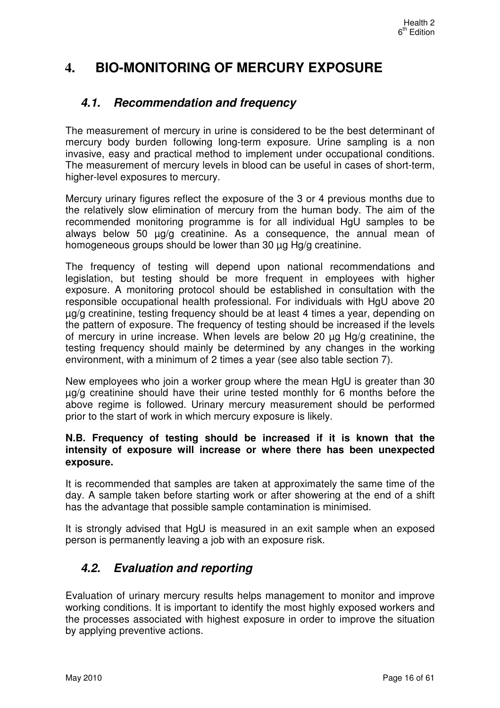## **4. BIO-MONITORING OF MERCURY EXPOSURE**

### **4.1. Recommendation and frequency**

The measurement of mercury in urine is considered to be the best determinant of mercury body burden following long-term exposure. Urine sampling is a non invasive, easy and practical method to implement under occupational conditions. The measurement of mercury levels in blood can be useful in cases of short-term, higher-level exposures to mercury.

Mercury urinary figures reflect the exposure of the 3 or 4 previous months due to the relatively slow elimination of mercury from the human body. The aim of the recommended monitoring programme is for all individual HgU samples to be always below 50 µg/g creatinine. As a consequence, the annual mean of homogeneous groups should be lower than 30 ug Hg/g creatinine.

The frequency of testing will depend upon national recommendations and legislation, but testing should be more frequent in employees with higher exposure. A monitoring protocol should be established in consultation with the responsible occupational health professional. For individuals with HgU above 20 µg/g creatinine, testing frequency should be at least 4 times a year, depending on the pattern of exposure. The frequency of testing should be increased if the levels of mercury in urine increase. When levels are below 20 µg Hg/g creatinine, the testing frequency should mainly be determined by any changes in the working environment, with a minimum of 2 times a year (see also table section 7).

New employees who join a worker group where the mean HgU is greater than 30 µg/g creatinine should have their urine tested monthly for 6 months before the above regime is followed. Urinary mercury measurement should be performed prior to the start of work in which mercury exposure is likely.

#### **N.B. Frequency of testing should be increased if it is known that the intensity of exposure will increase or where there has been unexpected exposure.**

It is recommended that samples are taken at approximately the same time of the day. A sample taken before starting work or after showering at the end of a shift has the advantage that possible sample contamination is minimised.

It is strongly advised that HgU is measured in an exit sample when an exposed person is permanently leaving a job with an exposure risk.

## **4.2. Evaluation and reporting**

Evaluation of urinary mercury results helps management to monitor and improve working conditions. It is important to identify the most highly exposed workers and the processes associated with highest exposure in order to improve the situation by applying preventive actions.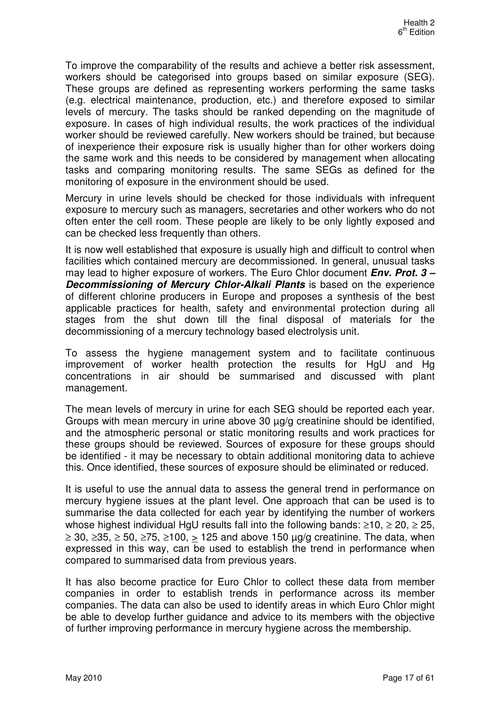To improve the comparability of the results and achieve a better risk assessment, workers should be categorised into groups based on similar exposure (SEG). These groups are defined as representing workers performing the same tasks (e.g. electrical maintenance, production, etc.) and therefore exposed to similar levels of mercury. The tasks should be ranked depending on the magnitude of exposure. In cases of high individual results, the work practices of the individual worker should be reviewed carefully. New workers should be trained, but because of inexperience their exposure risk is usually higher than for other workers doing the same work and this needs to be considered by management when allocating tasks and comparing monitoring results. The same SEGs as defined for the monitoring of exposure in the environment should be used.

Mercury in urine levels should be checked for those individuals with infrequent exposure to mercury such as managers, secretaries and other workers who do not often enter the cell room. These people are likely to be only lightly exposed and can be checked less frequently than others.

It is now well established that exposure is usually high and difficult to control when facilities which contained mercury are decommissioned. In general, unusual tasks may lead to higher exposure of workers. The Euro Chlor document **Env. Prot. 3 – Decommissioning of Mercury Chlor-Alkali Plants** is based on the experience of different chlorine producers in Europe and proposes a synthesis of the best applicable practices for health, safety and environmental protection during all stages from the shut down till the final disposal of materials for the decommissioning of a mercury technology based electrolysis unit.

To assess the hygiene management system and to facilitate continuous improvement of worker health protection the results for HgU and Hg concentrations in air should be summarised and discussed with plant management.

The mean levels of mercury in urine for each SEG should be reported each year. Groups with mean mercury in urine above 30 µg/g creatinine should be identified, and the atmospheric personal or static monitoring results and work practices for these groups should be reviewed. Sources of exposure for these groups should be identified - it may be necessary to obtain additional monitoring data to achieve this. Once identified, these sources of exposure should be eliminated or reduced.

It is useful to use the annual data to assess the general trend in performance on mercury hygiene issues at the plant level. One approach that can be used is to summarise the data collected for each year by identifying the number of workers whose highest individual HgU results fall into the following bands: ≥10, ≥ 20, ≥ 25,  $≥ 30, ≥35, ≥ 50, ≥75, ≥100, > 125$  and above 150 µg/g creatinine. The data, when expressed in this way, can be used to establish the trend in performance when compared to summarised data from previous years.

It has also become practice for Euro Chlor to collect these data from member companies in order to establish trends in performance across its member companies. The data can also be used to identify areas in which Euro Chlor might be able to develop further guidance and advice to its members with the objective of further improving performance in mercury hygiene across the membership.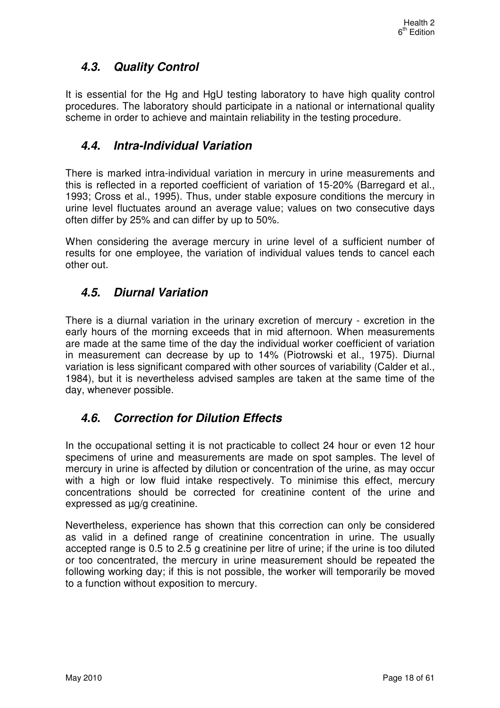## **4.3. Quality Control**

It is essential for the Hg and HgU testing laboratory to have high quality control procedures. The laboratory should participate in a national or international quality scheme in order to achieve and maintain reliability in the testing procedure.

### **4.4. Intra-Individual Variation**

There is marked intra-individual variation in mercury in urine measurements and this is reflected in a reported coefficient of variation of 15-20% (Barregard et al., 1993; Cross et al., 1995). Thus, under stable exposure conditions the mercury in urine level fluctuates around an average value; values on two consecutive days often differ by 25% and can differ by up to 50%.

When considering the average mercury in urine level of a sufficient number of results for one employee, the variation of individual values tends to cancel each other out.

### **4.5. Diurnal Variation**

There is a diurnal variation in the urinary excretion of mercury - excretion in the early hours of the morning exceeds that in mid afternoon. When measurements are made at the same time of the day the individual worker coefficient of variation in measurement can decrease by up to 14% (Piotrowski et al., 1975). Diurnal variation is less significant compared with other sources of variability (Calder et al., 1984), but it is nevertheless advised samples are taken at the same time of the day, whenever possible.

## **4.6. Correction for Dilution Effects**

In the occupational setting it is not practicable to collect 24 hour or even 12 hour specimens of urine and measurements are made on spot samples. The level of mercury in urine is affected by dilution or concentration of the urine, as may occur with a high or low fluid intake respectively. To minimise this effect, mercury concentrations should be corrected for creatinine content of the urine and expressed as µg/g creatinine.

Nevertheless, experience has shown that this correction can only be considered as valid in a defined range of creatinine concentration in urine. The usually accepted range is 0.5 to 2.5 g creatinine per litre of urine; if the urine is too diluted or too concentrated, the mercury in urine measurement should be repeated the following working day; if this is not possible, the worker will temporarily be moved to a function without exposition to mercury.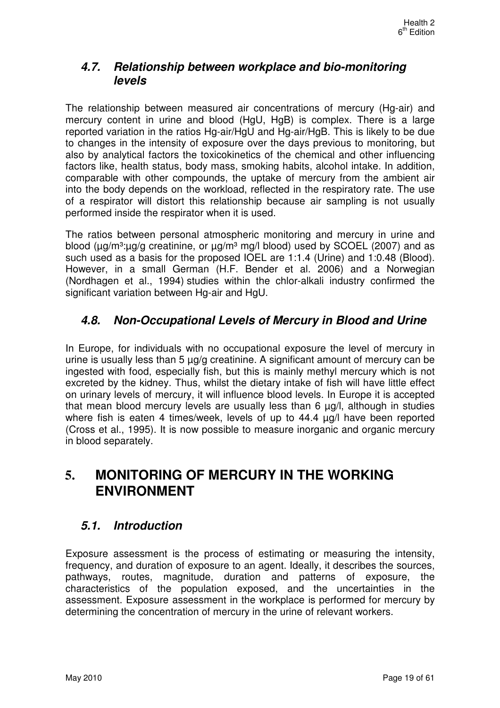### **4.7. Relationship between workplace and bio-monitoring levels**

The relationship between measured air concentrations of mercury (Hg-air) and mercury content in urine and blood (HgU, HgB) is complex. There is a large reported variation in the ratios Hg-air/HgU and Hg-air/HgB. This is likely to be due to changes in the intensity of exposure over the days previous to monitoring, but also by analytical factors the toxicokinetics of the chemical and other influencing factors like, health status, body mass, smoking habits, alcohol intake. In addition, comparable with other compounds, the uptake of mercury from the ambient air into the body depends on the workload, reflected in the respiratory rate. The use of a respirator will distort this relationship because air sampling is not usually performed inside the respirator when it is used.

The ratios between personal atmospheric monitoring and mercury in urine and blood ( $\mu q/m^3$ : $\mu q/q$  creatinine, or  $\mu q/m^3$  mg/l blood) used by SCOEL (2007) and as such used as a basis for the proposed IOEL are 1:1.4 (Urine) and 1:0.48 (Blood). However, in a small German (H.F. Bender et al. 2006) and a Norwegian (Nordhagen et al., 1994) studies within the chlor-alkali industry confirmed the significant variation between Hg-air and HgU.

## **4.8. Non-Occupational Levels of Mercury in Blood and Urine**

In Europe, for individuals with no occupational exposure the level of mercury in urine is usually less than 5 µg/g creatinine. A significant amount of mercury can be ingested with food, especially fish, but this is mainly methyl mercury which is not excreted by the kidney. Thus, whilst the dietary intake of fish will have little effect on urinary levels of mercury, it will influence blood levels. In Europe it is accepted that mean blood mercury levels are usually less than 6  $\mu$ g/l, although in studies where fish is eaten 4 times/week, levels of up to 44.4  $\mu$ g/l have been reported (Cross et al., 1995). It is now possible to measure inorganic and organic mercury in blood separately.

## **5. MONITORING OF MERCURY IN THE WORKING ENVIRONMENT**

## **5.1. Introduction**

Exposure assessment is the process of estimating or measuring the intensity, frequency, and duration of exposure to an agent. Ideally, it describes the sources, pathways, routes, magnitude, duration and patterns of exposure, the characteristics of the population exposed, and the uncertainties in the assessment. Exposure assessment in the workplace is performed for mercury by determining the concentration of mercury in the urine of relevant workers.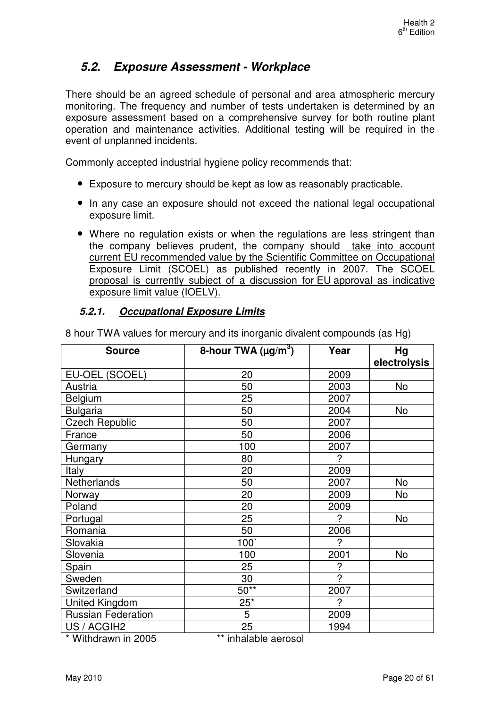## **5.2. Exposure Assessment - Workplace**

There should be an agreed schedule of personal and area atmospheric mercury monitoring. The frequency and number of tests undertaken is determined by an exposure assessment based on a comprehensive survey for both routine plant operation and maintenance activities. Additional testing will be required in the event of unplanned incidents.

Commonly accepted industrial hygiene policy recommends that:

- Exposure to mercury should be kept as low as reasonably practicable.
- In any case an exposure should not exceed the national legal occupational exposure limit.
- Where no regulation exists or when the regulations are less stringent than the company believes prudent, the company should take into account current EU recommended value by the Scientific Committee on Occupational Exposure Limit (SCOEL) as published recently in 2007. The SCOEL proposal is currently subject of a discussion for EU approval as indicative exposure limit value (IOELV).

#### **5.2.1. Occupational Exposure Limits**

| <b>Source</b>             | 8-hour TWA $(\mu g/m^3)$ | Year     | Hg<br>electrolysis |
|---------------------------|--------------------------|----------|--------------------|
| EU-OEL (SCOEL)            | 20                       | 2009     |                    |
| Austria                   | 50                       | 2003     | <b>No</b>          |
| Belgium                   | 25                       | 2007     |                    |
| <b>Bulgaria</b>           | 50                       | 2004     | <b>No</b>          |
| <b>Czech Republic</b>     | 50                       | 2007     |                    |
| France                    | 50                       | 2006     |                    |
| Germany                   | 100                      | 2007     |                    |
| Hungary                   | 80                       | ?        |                    |
| Italy                     | 20                       | 2009     |                    |
| Netherlands               | 50                       | 2007     | <b>No</b>          |
| Norway                    | 20                       | 2009     | <b>No</b>          |
| Poland                    | 20                       | 2009     |                    |
| Portugal                  | 25                       | ?        | <b>No</b>          |
| Romania                   | 50                       | 2006     |                    |
| Slovakia                  | 100 <sup>°</sup>         | 2        |                    |
| Slovenia                  | 100                      | 2001     | No                 |
| Spain                     | 25                       | ?        |                    |
| Sweden                    | 30                       | Σ        |                    |
| Switzerland               | $50^{**}$                | 2007     |                    |
| United Kingdom            | $25*$                    | $\gamma$ |                    |
| <b>Russian Federation</b> | 5                        | 2009     |                    |
| US / ACGIH2               | 25                       | 1994     |                    |
| $*$ $M!$ the drawn in $Q$ | $**$ inhalable assessi   |          |                    |

8 hour TWA values for mercury and its inorganic divalent compounds (as Hg)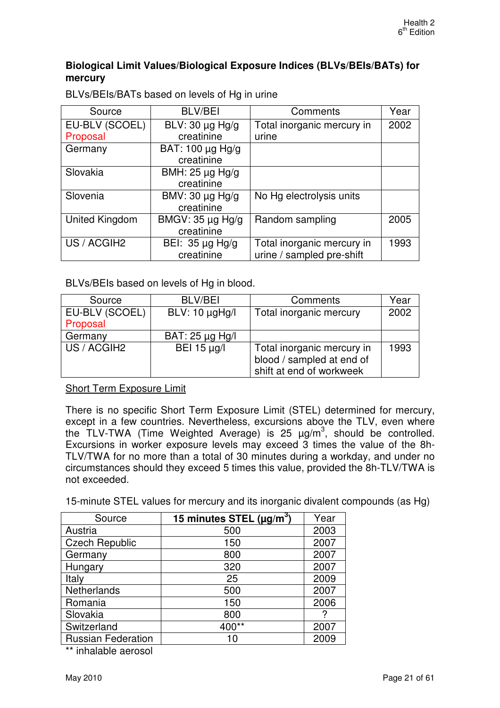#### **Biological Limit Values/Biological Exposure Indices (BLVs/BEIs/BATs) for mercury**

| Source                | <b>BLV/BEI</b>        | Comments                   | Year |
|-----------------------|-----------------------|----------------------------|------|
| EU-BLV (SCOEL)        | $BLV: 30 \mu g Hg/g$  | Total inorganic mercury in | 2002 |
| Proposal              | creatinine            | urine                      |      |
| Germany               | BAT: $100 \mu g$ Hg/g |                            |      |
|                       | creatinine            |                            |      |
| Slovakia              | BMH: $25 \mu g$ Hg/g  |                            |      |
|                       | creatinine            |                            |      |
| Slovenia              | BMV: 30 µg Hg/g       | No Hg electrolysis units   |      |
|                       | creatinine            |                            |      |
| <b>United Kingdom</b> | BMGV: 35 µg Hg/g      | Random sampling            | 2005 |
|                       | creatinine            |                            |      |
| US / ACGIH2           | BEI: $35 \mu g$ Hg/g  | Total inorganic mercury in | 1993 |
|                       | creatinine            | urine / sampled pre-shift  |      |

BLVs/BEIs/BATs based on levels of Hg in urine

#### BLVs/BEIs based on levels of Hg in blood.

| Source         | <b>BLV/BEI</b>       | Comments                   | Year |
|----------------|----------------------|----------------------------|------|
| EU-BLV (SCOEL) | $BLV: 10 \mu gHg/l$  | Total inorganic mercury    | 2002 |
| Proposal       |                      |                            |      |
| Germany        | BAT: $25 \mu g$ Hg/I |                            |      |
| US / ACGIH2    | BEI 15 $\mu$ g/l     | Total inorganic mercury in | 1993 |
|                |                      | blood / sampled at end of  |      |
|                |                      | shift at end of workweek   |      |

Short Term Exposure Limit

There is no specific Short Term Exposure Limit (STEL) determined for mercury, except in a few countries. Nevertheless, excursions above the TLV, even where the TLV-TWA (Time Weighted Average) is 25  $\mu$ g/m<sup>3</sup>, should be controlled. Excursions in worker exposure levels may exceed 3 times the value of the 8h-TLV/TWA for no more than a total of 30 minutes during a workday, and under no circumstances should they exceed 5 times this value, provided the 8h-TLV/TWA is not exceeded.

15-minute STEL values for mercury and its inorganic divalent compounds (as Hg)

| 15 minutes STEL $(\mu g/m^3)$ | Year |
|-------------------------------|------|
| 500                           | 2003 |
| 150                           | 2007 |
| 800                           | 2007 |
| 320                           | 2007 |
| 25                            | 2009 |
| 500                           | 2007 |
| 150                           | 2006 |
| 800                           |      |
| 400**                         | 2007 |
| 10                            | 2009 |
|                               |      |

\*\* inhalable aerosol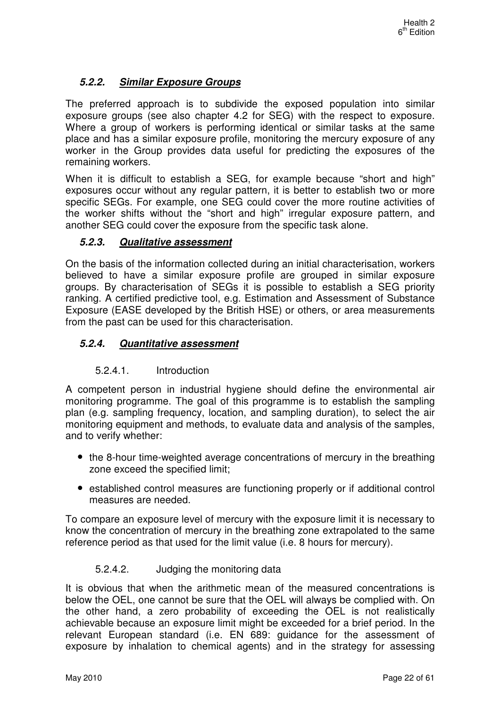### **5.2.2. Similar Exposure Groups**

The preferred approach is to subdivide the exposed population into similar exposure groups (see also chapter 4.2 for SEG) with the respect to exposure. Where a group of workers is performing identical or similar tasks at the same place and has a similar exposure profile, monitoring the mercury exposure of any worker in the Group provides data useful for predicting the exposures of the remaining workers.

When it is difficult to establish a SEG, for example because "short and high" exposures occur without any regular pattern, it is better to establish two or more specific SEGs. For example, one SEG could cover the more routine activities of the worker shifts without the "short and high" irregular exposure pattern, and another SEG could cover the exposure from the specific task alone.

#### **5.2.3. Qualitative assessment**

On the basis of the information collected during an initial characterisation, workers believed to have a similar exposure profile are grouped in similar exposure groups. By characterisation of SEGs it is possible to establish a SEG priority ranking. A certified predictive tool, e.g. Estimation and Assessment of Substance Exposure (EASE developed by the British HSE) or others, or area measurements from the past can be used for this characterisation.

#### **5.2.4. Quantitative assessment**

#### 5.2.4.1. Introduction

A competent person in industrial hygiene should define the environmental air monitoring programme. The goal of this programme is to establish the sampling plan (e.g. sampling frequency, location, and sampling duration), to select the air monitoring equipment and methods, to evaluate data and analysis of the samples, and to verify whether:

- the 8-hour time-weighted average concentrations of mercury in the breathing zone exceed the specified limit;
- established control measures are functioning properly or if additional control measures are needed.

To compare an exposure level of mercury with the exposure limit it is necessary to know the concentration of mercury in the breathing zone extrapolated to the same reference period as that used for the limit value (i.e. 8 hours for mercury).

### 5.2.4.2. Judging the monitoring data

It is obvious that when the arithmetic mean of the measured concentrations is below the OEL, one cannot be sure that the OEL will always be complied with. On the other hand, a zero probability of exceeding the OEL is not realistically achievable because an exposure limit might be exceeded for a brief period. In the relevant European standard (i.e. EN 689: guidance for the assessment of exposure by inhalation to chemical agents) and in the strategy for assessing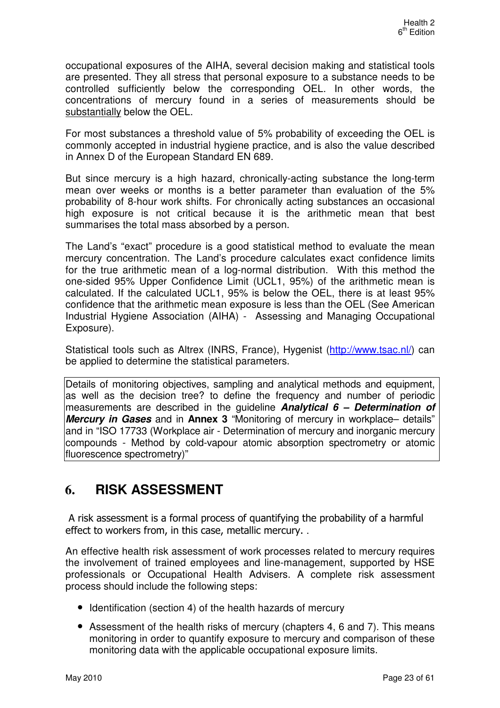occupational exposures of the AIHA, several decision making and statistical tools are presented. They all stress that personal exposure to a substance needs to be controlled sufficiently below the corresponding OEL. In other words, the concentrations of mercury found in a series of measurements should be substantially below the OEL.

For most substances a threshold value of 5% probability of exceeding the OEL is commonly accepted in industrial hygiene practice, and is also the value described in Annex D of the European Standard EN 689.

But since mercury is a high hazard, chronically-acting substance the long-term mean over weeks or months is a better parameter than evaluation of the 5% probability of 8-hour work shifts. For chronically acting substances an occasional high exposure is not critical because it is the arithmetic mean that best summarises the total mass absorbed by a person.

The Land's "exact" procedure is a good statistical method to evaluate the mean mercury concentration. The Land's procedure calculates exact confidence limits for the true arithmetic mean of a log-normal distribution. With this method the one-sided 95% Upper Confidence Limit (UCL1, 95%) of the arithmetic mean is calculated. If the calculated UCL1, 95% is below the OEL, there is at least 95% confidence that the arithmetic mean exposure is less than the OEL (See American Industrial Hygiene Association (AIHA) - Assessing and Managing Occupational Exposure).

Statistical tools such as Altrex (INRS, France), Hygenist (http://www.tsac.nl/) can be applied to determine the statistical parameters.

Details of monitoring objectives, sampling and analytical methods and equipment, as well as the decision tree? to define the frequency and number of periodic measurements are described in the guideline **Analytical 6 – Determination of Mercury in Gases** and in **Annex 3** "Monitoring of mercury in workplace– details" and in "ISO 17733 (Workplace air - Determination of mercury and inorganic mercury compounds - Method by cold-vapour atomic absorption spectrometry or atomic fluorescence spectrometry)"

## **6. RISK ASSESSMENT**

 A risk assessment is a formal process of quantifying the probability of a harmful effect to workers from, in this case, metallic mercury. .

An effective health risk assessment of work processes related to mercury requires the involvement of trained employees and line-management, supported by HSE professionals or Occupational Health Advisers. A complete risk assessment process should include the following steps:

- Identification (section 4) of the health hazards of mercury
- Assessment of the health risks of mercury (chapters 4, 6 and 7). This means monitoring in order to quantify exposure to mercury and comparison of these monitoring data with the applicable occupational exposure limits.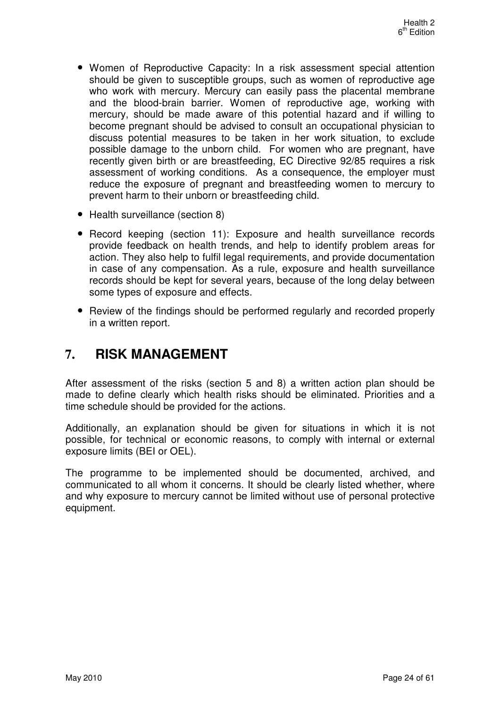- Women of Reproductive Capacity: In a risk assessment special attention should be given to susceptible groups, such as women of reproductive age who work with mercury. Mercury can easily pass the placental membrane and the blood-brain barrier. Women of reproductive age, working with mercury, should be made aware of this potential hazard and if willing to become pregnant should be advised to consult an occupational physician to discuss potential measures to be taken in her work situation, to exclude possible damage to the unborn child. For women who are pregnant, have recently given birth or are breastfeeding, EC Directive 92/85 requires a risk assessment of working conditions. As a consequence, the employer must reduce the exposure of pregnant and breastfeeding women to mercury to prevent harm to their unborn or breastfeeding child.
- Health surveillance (section 8)
- Record keeping (section 11): Exposure and health surveillance records provide feedback on health trends, and help to identify problem areas for action. They also help to fulfil legal requirements, and provide documentation in case of any compensation. As a rule, exposure and health surveillance records should be kept for several years, because of the long delay between some types of exposure and effects.
- Review of the findings should be performed regularly and recorded properly in a written report.

## **7. RISK MANAGEMENT**

After assessment of the risks (section 5 and 8) a written action plan should be made to define clearly which health risks should be eliminated. Priorities and a time schedule should be provided for the actions.

Additionally, an explanation should be given for situations in which it is not possible, for technical or economic reasons, to comply with internal or external exposure limits (BEI or OEL).

The programme to be implemented should be documented, archived, and communicated to all whom it concerns. It should be clearly listed whether, where and why exposure to mercury cannot be limited without use of personal protective equipment.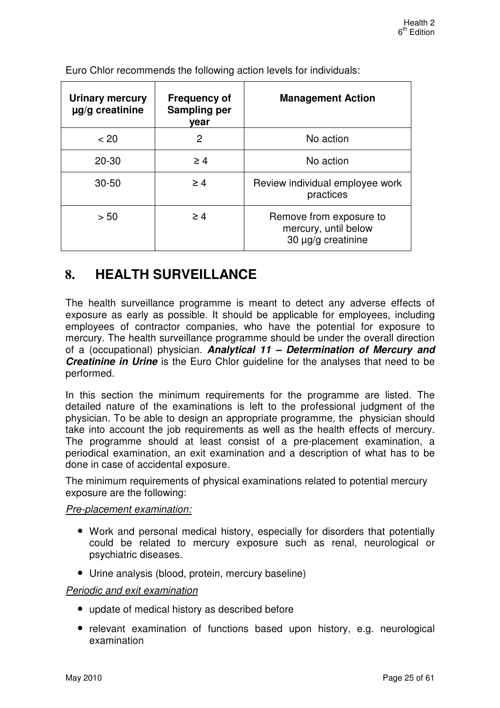| <b>Urinary mercury</b><br>$\mu$ g/g creatinine | <b>Frequency of</b><br><b>Sampling per</b><br>year | <b>Management Action</b>                                              |
|------------------------------------------------|----------------------------------------------------|-----------------------------------------------------------------------|
| < 20                                           | 2                                                  | No action                                                             |
| $20 - 30$                                      | $\geq 4$                                           | No action                                                             |
| $30 - 50$                                      | $\geq 4$                                           | Review individual employee work<br>practices                          |
| > 50                                           | $\geq 4$                                           | Remove from exposure to<br>mercury, until below<br>30 µg/g creatinine |

Euro Chlor recommends the following action levels for individuals:

## **8. HEALTH SURVEILLANCE**

The health surveillance programme is meant to detect any adverse effects of exposure as early as possible. It should be applicable for employees, including employees of contractor companies, who have the potential for exposure to mercury. The health surveillance programme should be under the overall direction of a (occupational) physician. **Analytical 11 – Determination of Mercury and Creatinine in Urine** is the Euro Chlor guideline for the analyses that need to be performed.

In this section the minimum requirements for the programme are listed. The detailed nature of the examinations is left to the professional judgment of the physician. To be able to design an appropriate programme, the physician should take into account the job requirements as well as the health effects of mercury. The programme should at least consist of a pre-placement examination, a periodical examination, an exit examination and a description of what has to be done in case of accidental exposure.

The minimum requirements of physical examinations related to potential mercury exposure are the following:

Pre-placement examination:

- Work and personal medical history, especially for disorders that potentially could be related to mercury exposure such as renal, neurological or psychiatric diseases.
- Urine analysis (blood, protein, mercury baseline)

#### Periodic and exit examination

- update of medical history as described before
- relevant examination of functions based upon history, e.g. neurological examination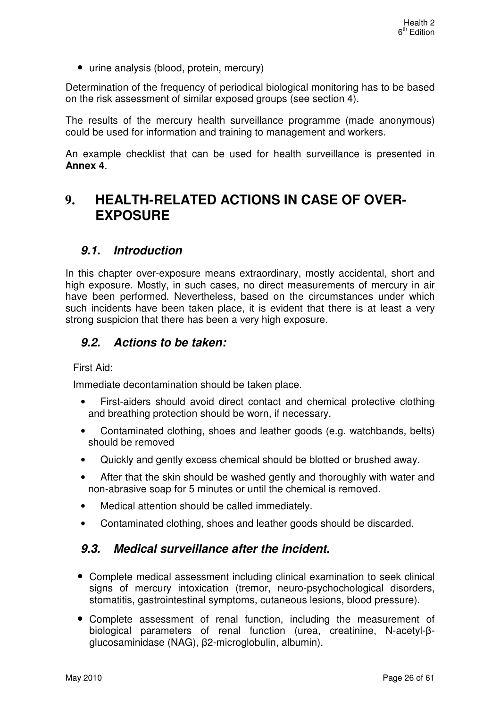• urine analysis (blood, protein, mercury)

Determination of the frequency of periodical biological monitoring has to be based on the risk assessment of similar exposed groups (see section 4).

The results of the mercury health surveillance programme (made anonymous) could be used for information and training to management and workers.

An example checklist that can be used for health surveillance is presented in **Annex 4**.

## **9. HEALTH-RELATED ACTIONS IN CASE OF OVER-EXPOSURE**

### **9.1. Introduction**

In this chapter over-exposure means extraordinary, mostly accidental, short and high exposure. Mostly, in such cases, no direct measurements of mercury in air have been performed. Nevertheless, based on the circumstances under which such incidents have been taken place, it is evident that there is at least a very strong suspicion that there has been a very high exposure.

## **9.2. Actions to be taken:**

First Aid:

Immediate decontamination should be taken place.

- First-aiders should avoid direct contact and chemical protective clothing and breathing protection should be worn, if necessary.
- Contaminated clothing, shoes and leather goods (e.g. watchbands, belts) should be removed
- Quickly and gently excess chemical should be blotted or brushed away.
- After that the skin should be washed gently and thoroughly with water and non-abrasive soap for 5 minutes or until the chemical is removed.
- Medical attention should be called immediately.
- Contaminated clothing, shoes and leather goods should be discarded.

### **9.3. Medical surveillance after the incident.**

- Complete medical assessment including clinical examination to seek clinical signs of mercury intoxication (tremor, neuro-psychochological disorders, stomatitis, gastrointestinal symptoms, cutaneous lesions, blood pressure).
- Complete assessment of renal function, including the measurement of biological parameters of renal function (urea, creatinine, N-acetyl-βglucosaminidase (NAG), β2-microglobulin, albumin).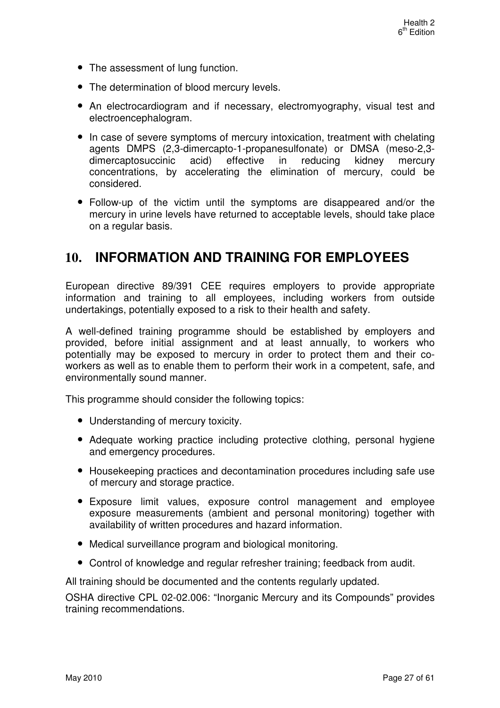- The assessment of lung function.
- The determination of blood mercury levels.
- An electrocardiogram and if necessary, electromyography, visual test and electroencephalogram.
- In case of severe symptoms of mercury intoxication, treatment with chelating agents DMPS (2,3-dimercapto-1-propanesulfonate) or DMSA (meso-2,3 dimercaptosuccinic acid) effective in reducing kidney mercury concentrations, by accelerating the elimination of mercury, could be considered.
- Follow-up of the victim until the symptoms are disappeared and/or the mercury in urine levels have returned to acceptable levels, should take place on a regular basis.

## **10. INFORMATION AND TRAINING FOR EMPLOYEES**

European directive 89/391 CEE requires employers to provide appropriate information and training to all employees, including workers from outside undertakings, potentially exposed to a risk to their health and safety.

A well-defined training programme should be established by employers and provided, before initial assignment and at least annually, to workers who potentially may be exposed to mercury in order to protect them and their coworkers as well as to enable them to perform their work in a competent, safe, and environmentally sound manner.

This programme should consider the following topics:

- Understanding of mercury toxicity.
- Adequate working practice including protective clothing, personal hygiene and emergency procedures.
- Housekeeping practices and decontamination procedures including safe use of mercury and storage practice.
- Exposure limit values, exposure control management and employee exposure measurements (ambient and personal monitoring) together with availability of written procedures and hazard information.
- Medical surveillance program and biological monitoring.
- Control of knowledge and regular refresher training; feedback from audit.

All training should be documented and the contents regularly updated.

OSHA directive CPL 02-02.006: "Inorganic Mercury and its Compounds" provides training recommendations.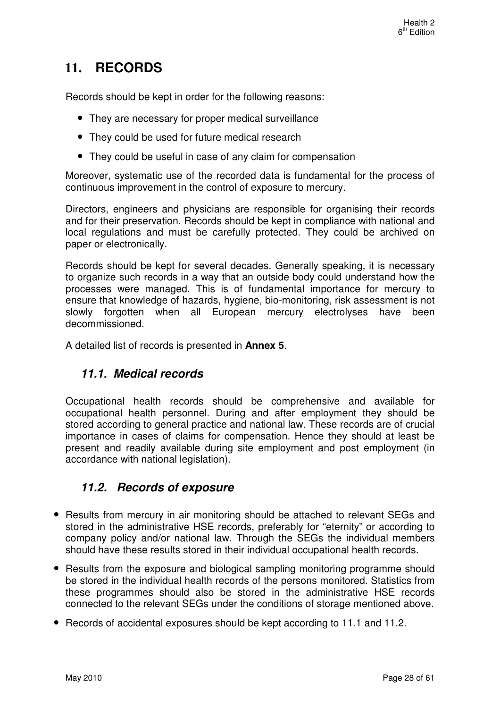## **11. RECORDS**

Records should be kept in order for the following reasons:

- They are necessary for proper medical surveillance
- They could be used for future medical research
- They could be useful in case of any claim for compensation

Moreover, systematic use of the recorded data is fundamental for the process of continuous improvement in the control of exposure to mercury.

Directors, engineers and physicians are responsible for organising their records and for their preservation. Records should be kept in compliance with national and local regulations and must be carefully protected. They could be archived on paper or electronically.

Records should be kept for several decades. Generally speaking, it is necessary to organize such records in a way that an outside body could understand how the processes were managed. This is of fundamental importance for mercury to ensure that knowledge of hazards, hygiene, bio-monitoring, risk assessment is not slowly forgotten when all European mercury electrolyses have been decommissioned.

A detailed list of records is presented in **Annex 5**.

## **11.1. Medical records**

Occupational health records should be comprehensive and available for occupational health personnel. During and after employment they should be stored according to general practice and national law. These records are of crucial importance in cases of claims for compensation. Hence they should at least be present and readily available during site employment and post employment (in accordance with national legislation).

## **11.2. Records of exposure**

- Results from mercury in air monitoring should be attached to relevant SEGs and stored in the administrative HSE records, preferably for "eternity" or according to company policy and/or national law. Through the SEGs the individual members should have these results stored in their individual occupational health records.
- Results from the exposure and biological sampling monitoring programme should be stored in the individual health records of the persons monitored. Statistics from these programmes should also be stored in the administrative HSE records connected to the relevant SEGs under the conditions of storage mentioned above.
- Records of accidental exposures should be kept according to 11.1 and 11.2.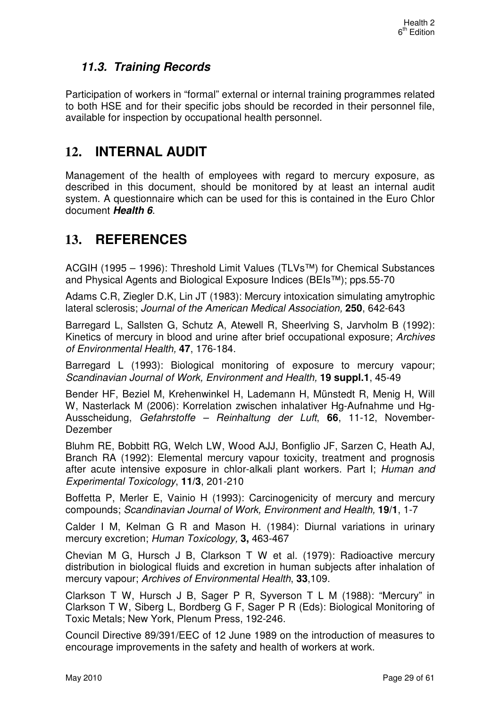## **11.3. Training Records**

Participation of workers in "formal" external or internal training programmes related to both HSE and for their specific jobs should be recorded in their personnel file, available for inspection by occupational health personnel.

## **12. INTERNAL AUDIT**

Management of the health of employees with regard to mercury exposure, as described in this document, should be monitored by at least an internal audit system. A questionnaire which can be used for this is contained in the Euro Chlor document **Health 6**.

## **13. REFERENCES**

ACGIH (1995 – 1996): Threshold Limit Values (TLVs™) for Chemical Substances and Physical Agents and Biological Exposure Indices (BEIs™); pps.55-70

Adams C.R, Ziegler D.K, Lin JT (1983): Mercury intoxication simulating amytrophic lateral sclerosis; Journal of the American Medical Association, **250**, 642-643

Barregard L, Sallsten G, Schutz A, Atewell R, Sheerlving S, Jarvholm B (1992): Kinetics of mercury in blood and urine after brief occupational exposure; Archives of Environmental Health, **47**, 176-184.

Barregard L (1993): Biological monitoring of exposure to mercury vapour; Scandinavian Journal of Work, Environment and Health, **19 suppl.1**, 45-49

Bender HF, Beziel M, Krehenwinkel H, Lademann H, Münstedt R, Menig H, Will W, Nasterlack M (2006): Korrelation zwischen inhalativer Hg-Aufnahme und Hg-Ausscheidung, Gefahrstoffe – Reinhaltung der Luft, **66**, 11-12, November-Dezember

Bluhm RE, Bobbitt RG, Welch LW, Wood AJJ, Bonfiglio JF, Sarzen C, Heath AJ, Branch RA (1992): Elemental mercury vapour toxicity, treatment and prognosis after acute intensive exposure in chlor-alkali plant workers. Part I; Human and Experimental Toxicology, **11/3**, 201-210

Boffetta P, Merler E, Vainio H (1993): Carcinogenicity of mercury and mercury compounds; Scandinavian Journal of Work, Environment and Health, **19/1**, 1-7

Calder I M, Kelman G R and Mason H. (1984): Diurnal variations in urinary mercury excretion; Human Toxicology, **3,** 463-467

Chevian M G, Hursch J B, Clarkson T W et al. (1979): Radioactive mercury distribution in biological fluids and excretion in human subjects after inhalation of mercury vapour; Archives of Environmental Health, **33**,109.

Clarkson T W, Hursch J B, Sager P R, Syverson T L M (1988): "Mercury" in Clarkson T W, Siberg L, Bordberg G F, Sager P R (Eds): Biological Monitoring of Toxic Metals; New York, Plenum Press, 192-246.

Council Directive 89/391/EEC of 12 June 1989 on the introduction of measures to encourage improvements in the safety and health of workers at work.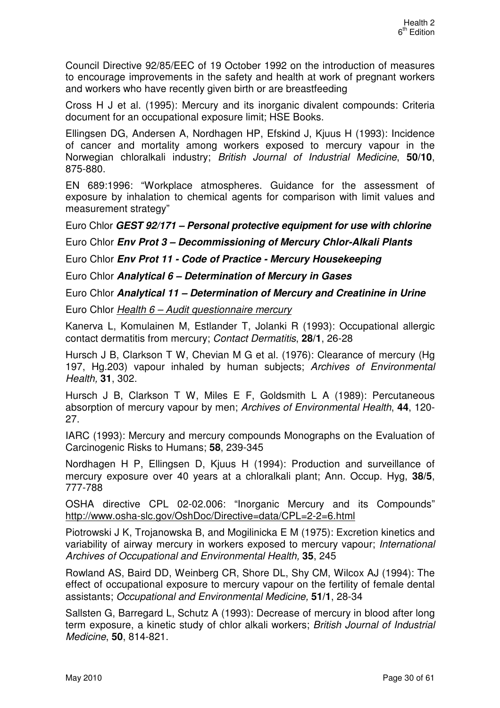Council Directive 92/85/EEC of 19 October 1992 on the introduction of measures to encourage improvements in the safety and health at work of pregnant workers and workers who have recently given birth or are breastfeeding

Cross H J et al. (1995): Mercury and its inorganic divalent compounds: Criteria document for an occupational exposure limit; HSE Books.

Ellingsen DG, Andersen A, Nordhagen HP, Efskind J, Kjuus H (1993): Incidence of cancer and mortality among workers exposed to mercury vapour in the Norwegian chloralkali industry; British Journal of Industrial Medicine, **50/10**, 875-880.

EN 689:1996: "Workplace atmospheres. Guidance for the assessment of exposure by inhalation to chemical agents for comparison with limit values and measurement strategy"

Euro Chlor **GEST 92/171 – Personal protective equipment for use with chlorine**

Euro Chlor **Env Prot 3 – Decommissioning of Mercury Chlor-Alkali Plants**

Euro Chlor **Env Prot 11 - Code of Practice - Mercury Housekeeping**

Euro Chlor **Analytical 6 – Determination of Mercury in Gases**

Euro Chlor **Analytical 11 – Determination of Mercury and Creatinine in Urine**

Euro Chlor Health 6 – Audit questionnaire mercury

Kanerva L, Komulainen M, Estlander T, Jolanki R (1993): Occupational allergic contact dermatitis from mercury; Contact Dermatitis, **28/1**, 26-28

Hursch J B, Clarkson T W, Chevian M G et al. (1976): Clearance of mercury (Hg 197, Hg.203) vapour inhaled by human subjects; Archives of Environmental Health, **31**, 302.

Hursch J B, Clarkson T W, Miles E F, Goldsmith L A (1989): Percutaneous absorption of mercury vapour by men; Archives of Environmental Health, **44**, 120- 27.

IARC (1993): Mercury and mercury compounds Monographs on the Evaluation of Carcinogenic Risks to Humans; **58**, 239-345

Nordhagen H P, Ellingsen D, Kjuus H (1994): Production and surveillance of mercury exposure over 40 years at a chloralkali plant; Ann. Occup. Hyg, **38/5**, 777-788

OSHA directive CPL 02-02.006: "Inorganic Mercury and its Compounds" http://www.osha-slc.gov/OshDoc/Directive=data/CPL=2-2=6.html

Piotrowski J K, Trojanowska B, and Mogilinicka E M (1975): Excretion kinetics and variability of airway mercury in workers exposed to mercury vapour; International Archives of Occupational and Environmental Health, **35**, 245

Rowland AS, Baird DD, Weinberg CR, Shore DL, Shy CM, Wilcox AJ (1994): The effect of occupational exposure to mercury vapour on the fertility of female dental assistants; Occupational and Environmental Medicine, **51/1**, 28-34

Sallsten G, Barregard L, Schutz A (1993): Decrease of mercury in blood after long term exposure, a kinetic study of chlor alkali workers; British Journal of Industrial Medicine, **50**, 814-821.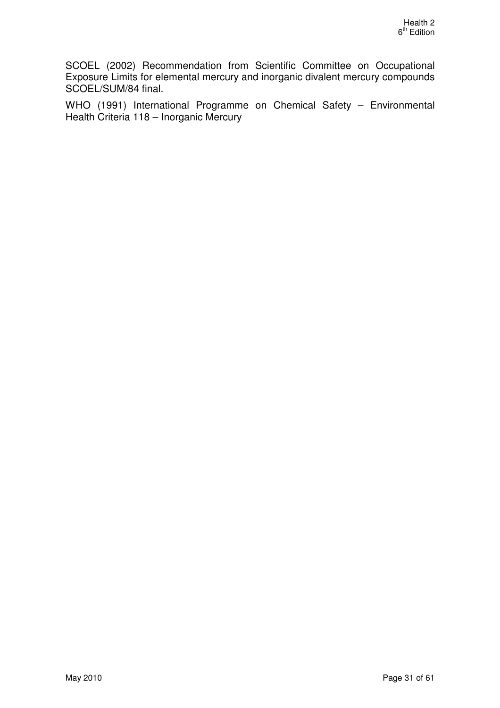SCOEL (2002) Recommendation from Scientific Committee on Occupational Exposure Limits for elemental mercury and inorganic divalent mercury compounds SCOEL/SUM/84 final.

WHO (1991) International Programme on Chemical Safety – Environmental Health Criteria 118 – Inorganic Mercury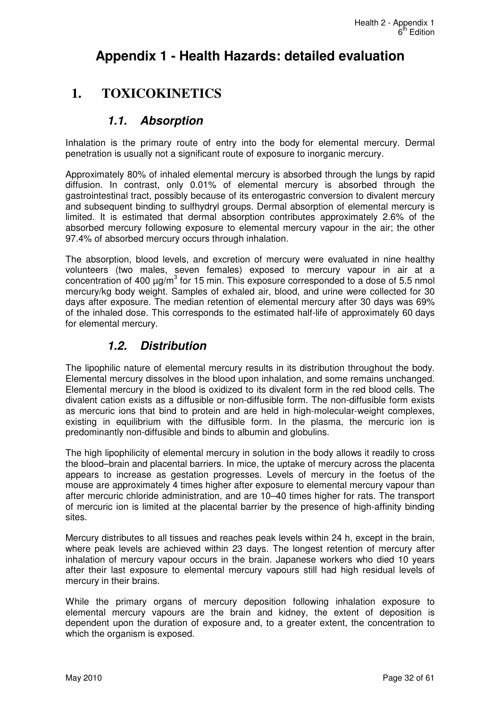## **Appendix 1 - Health Hazards: detailed evaluation**

## **1. TOXICOKINETICS**

### **1.1. Absorption**

Inhalation is the primary route of entry into the body for elemental mercury. Dermal penetration is usually not a significant route of exposure to inorganic mercury.

Approximately 80% of inhaled elemental mercury is absorbed through the lungs by rapid diffusion. In contrast, only 0.01% of elemental mercury is absorbed through the gastrointestinal tract, possibly because of its enterogastric conversion to divalent mercury and subsequent binding to sulfhydryl groups. Dermal absorption of elemental mercury is limited. It is estimated that dermal absorption contributes approximately 2.6% of the absorbed mercury following exposure to elemental mercury vapour in the air; the other 97.4% of absorbed mercury occurs through inhalation.

The absorption, blood levels, and excretion of mercury were evaluated in nine healthy volunteers (two males, seven females) exposed to mercury vapour in air at a concentration of 400  $\mu$ g/m<sup>3</sup> for 15 min. This exposure corresponded to a dose of 5.5 nmol mercury/kg body weight. Samples of exhaled air, blood, and urine were collected for 30 days after exposure. The median retention of elemental mercury after 30 days was 69% of the inhaled dose. This corresponds to the estimated half-life of approximately 60 days for elemental mercury.

### **1.2. Distribution**

The lipophilic nature of elemental mercury results in its distribution throughout the body. Elemental mercury dissolves in the blood upon inhalation, and some remains unchanged. Elemental mercury in the blood is oxidized to its divalent form in the red blood cells. The divalent cation exists as a diffusible or non-diffusible form. The non-diffusible form exists as mercuric ions that bind to protein and are held in high-molecular-weight complexes, existing in equilibrium with the diffusible form. In the plasma, the mercuric ion is predominantly non-diffusible and binds to albumin and globulins.

The high lipophilicity of elemental mercury in solution in the body allows it readily to cross the blood–brain and placental barriers. In mice, the uptake of mercury across the placenta appears to increase as gestation progresses. Levels of mercury in the foetus of the mouse are approximately 4 times higher after exposure to elemental mercury vapour than after mercuric chloride administration, and are 10–40 times higher for rats. The transport of mercuric ion is limited at the placental barrier by the presence of high-affinity binding sites.

Mercury distributes to all tissues and reaches peak levels within 24 h, except in the brain, where peak levels are achieved within 23 days. The longest retention of mercury after inhalation of mercury vapour occurs in the brain. Japanese workers who died 10 years after their last exposure to elemental mercury vapours still had high residual levels of mercury in their brains.

While the primary organs of mercury deposition following inhalation exposure to elemental mercury vapours are the brain and kidney, the extent of deposition is dependent upon the duration of exposure and, to a greater extent, the concentration to which the organism is exposed.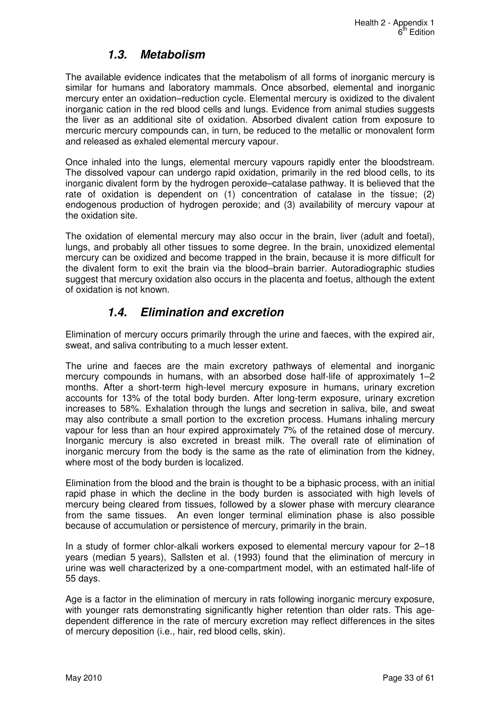### **1.3. Metabolism**

The available evidence indicates that the metabolism of all forms of inorganic mercury is similar for humans and laboratory mammals. Once absorbed, elemental and inorganic mercury enter an oxidation–reduction cycle. Elemental mercury is oxidized to the divalent inorganic cation in the red blood cells and lungs. Evidence from animal studies suggests the liver as an additional site of oxidation. Absorbed divalent cation from exposure to mercuric mercury compounds can, in turn, be reduced to the metallic or monovalent form and released as exhaled elemental mercury vapour.

Once inhaled into the lungs, elemental mercury vapours rapidly enter the bloodstream. The dissolved vapour can undergo rapid oxidation, primarily in the red blood cells, to its inorganic divalent form by the hydrogen peroxide–catalase pathway. It is believed that the rate of oxidation is dependent on (1) concentration of catalase in the tissue; (2) endogenous production of hydrogen peroxide; and (3) availability of mercury vapour at the oxidation site.

The oxidation of elemental mercury may also occur in the brain, liver (adult and foetal), lungs, and probably all other tissues to some degree. In the brain, unoxidized elemental mercury can be oxidized and become trapped in the brain, because it is more difficult for the divalent form to exit the brain via the blood–brain barrier. Autoradiographic studies suggest that mercury oxidation also occurs in the placenta and foetus, although the extent of oxidation is not known.

## **1.4. Elimination and excretion**

Elimination of mercury occurs primarily through the urine and faeces, with the expired air, sweat, and saliva contributing to a much lesser extent.

The urine and faeces are the main excretory pathways of elemental and inorganic mercury compounds in humans, with an absorbed dose half-life of approximately 1–2 months. After a short-term high-level mercury exposure in humans, urinary excretion accounts for 13% of the total body burden. After long-term exposure, urinary excretion increases to 58%. Exhalation through the lungs and secretion in saliva, bile, and sweat may also contribute a small portion to the excretion process. Humans inhaling mercury vapour for less than an hour expired approximately 7% of the retained dose of mercury. Inorganic mercury is also excreted in breast milk. The overall rate of elimination of inorganic mercury from the body is the same as the rate of elimination from the kidney, where most of the body burden is localized.

Elimination from the blood and the brain is thought to be a biphasic process, with an initial rapid phase in which the decline in the body burden is associated with high levels of mercury being cleared from tissues, followed by a slower phase with mercury clearance from the same tissues. An even longer terminal elimination phase is also possible because of accumulation or persistence of mercury, primarily in the brain.

In a study of former chlor-alkali workers exposed to elemental mercury vapour for 2–18 years (median 5 years), Sallsten et al. (1993) found that the elimination of mercury in urine was well characterized by a one-compartment model, with an estimated half-life of 55 days.

Age is a factor in the elimination of mercury in rats following inorganic mercury exposure, with younger rats demonstrating significantly higher retention than older rats. This agedependent difference in the rate of mercury excretion may reflect differences in the sites of mercury deposition (i.e., hair, red blood cells, skin).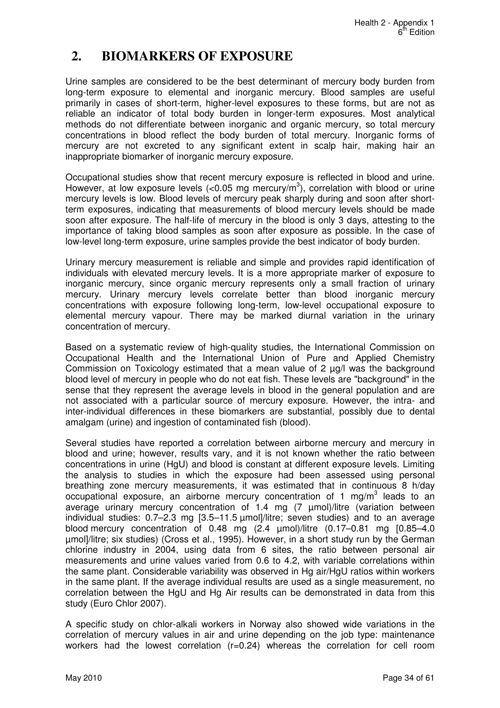## **2. BIOMARKERS OF EXPOSURE**

Urine samples are considered to be the best determinant of mercury body burden from long-term exposure to elemental and inorganic mercury. Blood samples are useful primarily in cases of short-term, higher-level exposures to these forms, but are not as reliable an indicator of total body burden in longer-term exposures. Most analytical methods do not differentiate between inorganic and organic mercury, so total mercury concentrations in blood reflect the body burden of total mercury. Inorganic forms of mercury are not excreted to any significant extent in scalp hair, making hair an inappropriate biomarker of inorganic mercury exposure.

Occupational studies show that recent mercury exposure is reflected in blood and urine. However, at low exposure levels (<0.05 mg mercury/ $m^3$ ), correlation with blood or urine mercury levels is low. Blood levels of mercury peak sharply during and soon after shortterm exposures, indicating that measurements of blood mercury levels should be made soon after exposure. The half-life of mercury in the blood is only 3 days, attesting to the importance of taking blood samples as soon after exposure as possible. In the case of low-level long-term exposure, urine samples provide the best indicator of body burden.

Urinary mercury measurement is reliable and simple and provides rapid identification of individuals with elevated mercury levels. It is a more appropriate marker of exposure to inorganic mercury, since organic mercury represents only a small fraction of urinary mercury. Urinary mercury levels correlate better than blood inorganic mercury concentrations with exposure following long-term, low-level occupational exposure to elemental mercury vapour. There may be marked diurnal variation in the urinary concentration of mercury.

Based on a systematic review of high-quality studies, the International Commission on Occupational Health and the International Union of Pure and Applied Chemistry Commission on Toxicology estimated that a mean value of 2 µg/l was the background blood level of mercury in people who do not eat fish. These levels are "background" in the sense that they represent the average levels in blood in the general population and are not associated with a particular source of mercury exposure. However, the intra- and inter-individual differences in these biomarkers are substantial, possibly due to dental amalgam (urine) and ingestion of contaminated fish (blood).

Several studies have reported a correlation between airborne mercury and mercury in blood and urine; however, results vary, and it is not known whether the ratio between concentrations in urine (HgU) and blood is constant at different exposure levels. Limiting the analysis to studies in which the exposure had been assessed using personal breathing zone mercury measurements, it was estimated that in continuous 8 h/day occupational exposure, an airborne mercury concentration of 1 mg/m $3$  leads to an average urinary mercury concentration of 1.4 mg (7 µmol)/litre (variation between individual studies: 0.7–2.3 mg [3.5–11.5 µmol]/litre; seven studies) and to an average blood mercury concentration of 0.48 mg (2.4 µmol)/litre (0.17–0.81 mg [0.85–4.0 µmol]/litre; six studies) (Cross et al., 1995). However, in a short study run by the German chlorine industry in 2004, using data from 6 sites, the ratio between personal air measurements and urine values varied from 0.6 to 4.2, with variable correlations within the same plant. Considerable variability was observed in Hg air/HgU ratios within workers in the same plant. If the average individual results are used as a single measurement, no correlation between the HgU and Hg Air results can be demonstrated in data from this study (Euro Chlor 2007).

A specific study on chlor-alkali workers in Norway also showed wide variations in the correlation of mercury values in air and urine depending on the job type: maintenance workers had the lowest correlation (r=0.24) whereas the correlation for cell room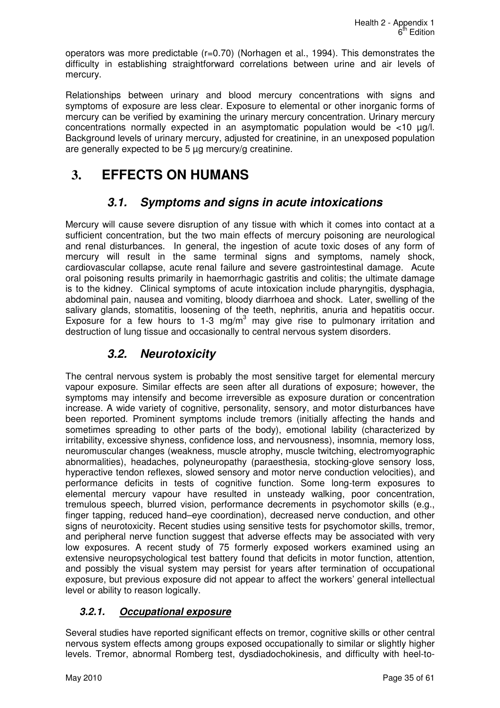operators was more predictable (r=0.70) (Norhagen et al., 1994). This demonstrates the difficulty in establishing straightforward correlations between urine and air levels of mercury.

Relationships between urinary and blood mercury concentrations with signs and symptoms of exposure are less clear. Exposure to elemental or other inorganic forms of mercury can be verified by examining the urinary mercury concentration. Urinary mercury concentrations normally expected in an asymptomatic population would be  $\lt 10$  ug/l. Background levels of urinary mercury, adjusted for creatinine, in an unexposed population are generally expected to be 5 µg mercury/g creatinine.

## **3. EFFECTS ON HUMANS**

## **3.1. Symptoms and signs in acute intoxications**

Mercury will cause severe disruption of any tissue with which it comes into contact at a sufficient concentration, but the two main effects of mercury poisoning are neurological and renal disturbances. In general, the ingestion of acute toxic doses of any form of mercury will result in the same terminal signs and symptoms, namely shock, cardiovascular collapse, acute renal failure and severe gastrointestinal damage. Acute oral poisoning results primarily in haemorrhagic gastritis and colitis; the ultimate damage is to the kidney. Clinical symptoms of acute intoxication include pharyngitis, dysphagia, abdominal pain, nausea and vomiting, bloody diarrhoea and shock. Later, swelling of the salivary glands, stomatitis, loosening of the teeth, nephritis, anuria and hepatitis occur. Exposure for a few hours to 1-3  $mg/m<sup>3</sup>$  may give rise to pulmonary irritation and destruction of lung tissue and occasionally to central nervous system disorders.

## **3.2. Neurotoxicity**

The central nervous system is probably the most sensitive target for elemental mercury vapour exposure. Similar effects are seen after all durations of exposure; however, the symptoms may intensify and become irreversible as exposure duration or concentration increase. A wide variety of cognitive, personality, sensory, and motor disturbances have been reported. Prominent symptoms include tremors (initially affecting the hands and sometimes spreading to other parts of the body), emotional lability (characterized by irritability, excessive shyness, confidence loss, and nervousness), insomnia, memory loss, neuromuscular changes (weakness, muscle atrophy, muscle twitching, electromyographic abnormalities), headaches, polyneuropathy (paraesthesia, stocking-glove sensory loss, hyperactive tendon reflexes, slowed sensory and motor nerve conduction velocities), and performance deficits in tests of cognitive function. Some long-term exposures to elemental mercury vapour have resulted in unsteady walking, poor concentration, tremulous speech, blurred vision, performance decrements in psychomotor skills (e.g., finger tapping, reduced hand–eye coordination), decreased nerve conduction, and other signs of neurotoxicity. Recent studies using sensitive tests for psychomotor skills, tremor, and peripheral nerve function suggest that adverse effects may be associated with very low exposures. A recent study of 75 formerly exposed workers examined using an extensive neuropsychological test battery found that deficits in motor function, attention, and possibly the visual system may persist for years after termination of occupational exposure, but previous exposure did not appear to affect the workers' general intellectual level or ability to reason logically.

### **3.2.1. Occupational exposure**

Several studies have reported significant effects on tremor, cognitive skills or other central nervous system effects among groups exposed occupationally to similar or slightly higher levels. Tremor, abnormal Romberg test, dysdiadochokinesis, and difficulty with heel-to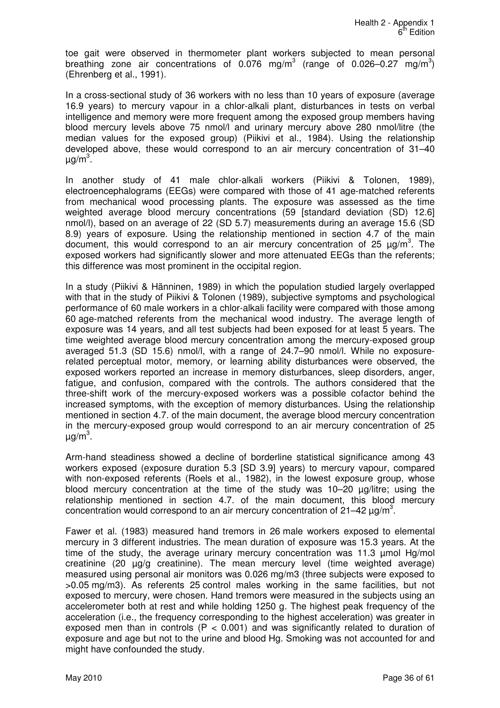toe gait were observed in thermometer plant workers subjected to mean personal breathing zone air concentrations of 0.076 mg/m<sup>3</sup> (range of 0.026–0.27 mg/m<sup>3</sup>) (Ehrenberg et al., 1991).

In a cross-sectional study of 36 workers with no less than 10 years of exposure (average 16.9 years) to mercury vapour in a chlor-alkali plant, disturbances in tests on verbal intelligence and memory were more frequent among the exposed group members having blood mercury levels above 75 nmol/l and urinary mercury above 280 nmol/litre (the median values for the exposed group) (Piikivi et al., 1984). Using the relationship developed above, these would correspond to an air mercury concentration of 31–40  $\mu$ g/m $^3$ . $^7$ 

In another study of 41 male chlor-alkali workers (Piikivi & Tolonen, 1989), electroencephalograms (EEGs) were compared with those of 41 age-matched referents from mechanical wood processing plants. The exposure was assessed as the time weighted average blood mercury concentrations (59 [standard deviation (SD) 12.6] nmol/l), based on an average of 22 (SD 5.7) measurements during an average 15.6 (SD 8.9) years of exposure. Using the relationship mentioned in section 4.7 of the main document, this would correspond to an air mercury concentration of 25  $\mu$ g/m<sup>3</sup>. The exposed workers had significantly slower and more attenuated EEGs than the referents; this difference was most prominent in the occipital region.

In a study (Piikivi & Hänninen, 1989) in which the population studied largely overlapped with that in the study of Piikivi & Tolonen (1989), subjective symptoms and psychological performance of 60 male workers in a chlor-alkali facility were compared with those among 60 age-matched referents from the mechanical wood industry. The average length of exposure was 14 years, and all test subjects had been exposed for at least 5 years. The time weighted average blood mercury concentration among the mercury-exposed group averaged 51.3 (SD 15.6) nmol/l, with a range of 24.7–90 nmol/l. While no exposurerelated perceptual motor, memory, or learning ability disturbances were observed, the exposed workers reported an increase in memory disturbances, sleep disorders, anger, fatigue, and confusion, compared with the controls. The authors considered that the three-shift work of the mercury-exposed workers was a possible cofactor behind the increased symptoms, with the exception of memory disturbances. Using the relationship mentioned in section 4.7. of the main document, the average blood mercury concentration in the mercury-exposed group would correspond to an air mercury concentration of 25  $\mu$ g/m $^3$ .

Arm-hand steadiness showed a decline of borderline statistical significance among 43 workers exposed (exposure duration 5.3 [SD 3.9] years) to mercury vapour, compared with non-exposed referents (Roels et al., 1982), in the lowest exposure group, whose blood mercury concentration at the time of the study was 10–20 µg/litre; using the relationship mentioned in section 4.7. of the main document, this blood mercury concentration would correspond to an air mercury concentration of 21–42  $\mu$ g/m<sup>3</sup>.

Fawer et al. (1983) measured hand tremors in 26 male workers exposed to elemental mercury in 3 different industries. The mean duration of exposure was 15.3 years. At the time of the study, the average urinary mercury concentration was 11.3 µmol Hg/mol creatinine (20 µg/g creatinine). The mean mercury level (time weighted average) measured using personal air monitors was 0.026 mg/m3 (three subjects were exposed to >0.05 mg/m3). As referents 25 control males working in the same facilities, but not exposed to mercury, were chosen. Hand tremors were measured in the subjects using an accelerometer both at rest and while holding 1250 g. The highest peak frequency of the acceleration (i.e., the frequency corresponding to the highest acceleration) was greater in exposed men than in controls ( $P < 0.001$ ) and was significantly related to duration of exposure and age but not to the urine and blood Hg. Smoking was not accounted for and might have confounded the study.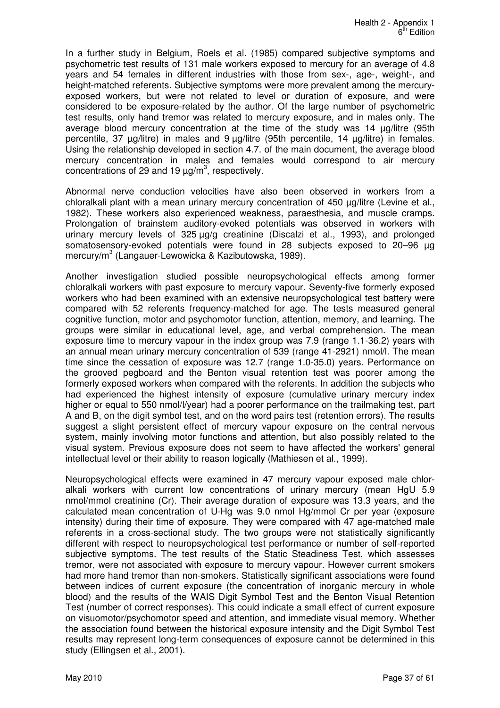In a further study in Belgium, Roels et al. (1985) compared subjective symptoms and psychometric test results of 131 male workers exposed to mercury for an average of 4.8 years and 54 females in different industries with those from sex-, age-, weight-, and height-matched referents. Subjective symptoms were more prevalent among the mercuryexposed workers, but were not related to level or duration of exposure, and were considered to be exposure-related by the author. Of the large number of psychometric test results, only hand tremor was related to mercury exposure, and in males only. The average blood mercury concentration at the time of the study was 14 µg/litre (95th percentile, 37 µg/litre) in males and 9 µg/litre (95th percentile, 14 µg/litre) in females. Using the relationship developed in section 4.7. of the main document, the average blood mercury concentration in males and females would correspond to air mercury concentrations of 29 and 19  $\mu$ g/m<sup>3</sup>, respectively.

Abnormal nerve conduction velocities have also been observed in workers from a chloralkali plant with a mean urinary mercury concentration of 450 µg/litre (Levine et al., 1982). These workers also experienced weakness, paraesthesia, and muscle cramps. Prolongation of brainstem auditory-evoked potentials was observed in workers with urinary mercury levels of 325 µg/g creatinine (Discalzi et al., 1993), and prolonged somatosensory-evoked potentials were found in 28 subjects exposed to 20–96 ug mercury/m<sup>3</sup> (Langauer-Lewowicka & Kazibutowska, 1989).

Another investigation studied possible neuropsychological effects among former chloralkali workers with past exposure to mercury vapour. Seventy-five formerly exposed workers who had been examined with an extensive neuropsychological test battery were compared with 52 referents frequency-matched for age. The tests measured general cognitive function, motor and psychomotor function, attention, memory, and learning. The groups were similar in educational level, age, and verbal comprehension. The mean exposure time to mercury vapour in the index group was 7.9 (range 1.1-36.2) years with an annual mean urinary mercury concentration of 539 (range 41-2921) nmol/l. The mean time since the cessation of exposure was 12.7 (range 1.0-35.0) years. Performance on the grooved pegboard and the Benton visual retention test was poorer among the formerly exposed workers when compared with the referents. In addition the subjects who had experienced the highest intensity of exposure (cumulative urinary mercury index higher or equal to 550 nmol/l/year) had a poorer performance on the trailmaking test, part A and B, on the digit symbol test, and on the word pairs test (retention errors). The results suggest a slight persistent effect of mercury vapour exposure on the central nervous system, mainly involving motor functions and attention, but also possibly related to the visual system. Previous exposure does not seem to have affected the workers' general intellectual level or their ability to reason logically (Mathiesen et al., 1999).

Neuropsychological effects were examined in 47 mercury vapour exposed male chloralkali workers with current low concentrations of urinary mercury (mean HgU 5.9 nmol/mmol creatinine (Cr). Their average duration of exposure was 13.3 years, and the calculated mean concentration of U-Hg was 9.0 nmol Hg/mmol Cr per year (exposure intensity) during their time of exposure. They were compared with 47 age-matched male referents in a cross-sectional study. The two groups were not statistically significantly different with respect to neuropsychological test performance or number of self-reported subjective symptoms. The test results of the Static Steadiness Test, which assesses tremor, were not associated with exposure to mercury vapour. However current smokers had more hand tremor than non-smokers. Statistically significant associations were found between indices of current exposure (the concentration of inorganic mercury in whole blood) and the results of the WAIS Digit Symbol Test and the Benton Visual Retention Test (number of correct responses). This could indicate a small effect of current exposure on visuomotor/psychomotor speed and attention, and immediate visual memory. Whether the association found between the historical exposure intensity and the Digit Symbol Test results may represent long-term consequences of exposure cannot be determined in this study (Ellingsen et al., 2001).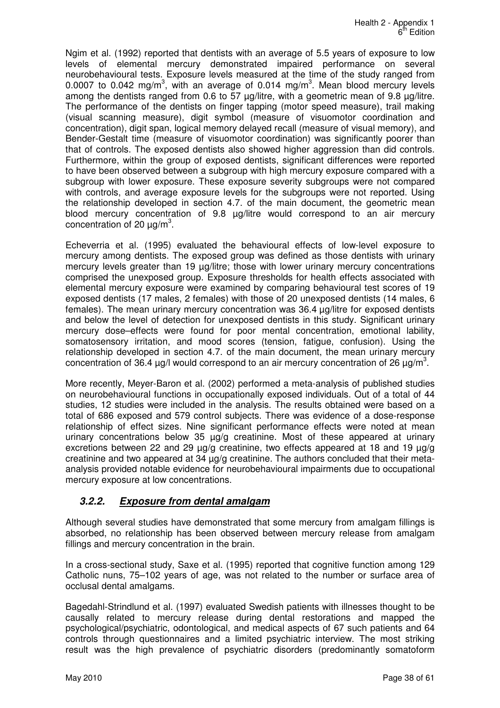Ngim et al. (1992) reported that dentists with an average of 5.5 years of exposure to low levels of elemental mercury demonstrated impaired performance on several neurobehavioural tests. Exposure levels measured at the time of the study ranged from 0.0007 to 0.042 mg/m<sup>3</sup>, with an average of 0.014 mg/m<sup>3</sup>. Mean blood mercury levels among the dentists ranged from 0.6 to 57 µg/litre, with a geometric mean of 9.8 µg/litre. The performance of the dentists on finger tapping (motor speed measure), trail making (visual scanning measure), digit symbol (measure of visuomotor coordination and concentration), digit span, logical memory delayed recall (measure of visual memory), and Bender-Gestalt time (measure of visuomotor coordination) was significantly poorer than that of controls. The exposed dentists also showed higher aggression than did controls. Furthermore, within the group of exposed dentists, significant differences were reported to have been observed between a subgroup with high mercury exposure compared with a subgroup with lower exposure. These exposure severity subgroups were not compared with controls, and average exposure levels for the subgroups were not reported. Using the relationship developed in section 4.7. of the main document, the geometric mean blood mercury concentration of 9.8 µg/litre would correspond to an air mercury concentration of 20  $\mu$ g/m<sup>3</sup>.

Echeverria et al. (1995) evaluated the behavioural effects of low-level exposure to mercury among dentists. The exposed group was defined as those dentists with urinary mercury levels greater than 19 µg/litre; those with lower urinary mercury concentrations comprised the unexposed group. Exposure thresholds for health effects associated with elemental mercury exposure were examined by comparing behavioural test scores of 19 exposed dentists (17 males, 2 females) with those of 20 unexposed dentists (14 males, 6 females). The mean urinary mercury concentration was 36.4 µg/litre for exposed dentists and below the level of detection for unexposed dentists in this study. Significant urinary mercury dose–effects were found for poor mental concentration, emotional lability, somatosensory irritation, and mood scores (tension, fatigue, confusion). Using the relationship developed in section 4.7. of the main document, the mean urinary mercury concentration of 36.4  $\mu$ g/l would correspond to an air mercury concentration of 26  $\mu$ g/m<sup>3</sup>.

More recently, Meyer-Baron et al. (2002) performed a meta-analysis of published studies on neurobehavioural functions in occupationally exposed individuals. Out of a total of 44 studies, 12 studies were included in the analysis. The results obtained were based on a total of 686 exposed and 579 control subjects. There was evidence of a dose-response relationship of effect sizes. Nine significant performance effects were noted at mean urinary concentrations below 35 µg/g creatinine. Most of these appeared at urinary excretions between 22 and 29  $\mu q/q$  creatinine, two effects appeared at 18 and 19  $\mu q/q$ creatinine and two appeared at 34 µg/g creatinine. The authors concluded that their metaanalysis provided notable evidence for neurobehavioural impairments due to occupational mercury exposure at low concentrations.

### **3.2.2. Exposure from dental amalgam**

Although several studies have demonstrated that some mercury from amalgam fillings is absorbed, no relationship has been observed between mercury release from amalgam fillings and mercury concentration in the brain.

In a cross-sectional study, Saxe et al. (1995) reported that cognitive function among 129 Catholic nuns, 75–102 years of age, was not related to the number or surface area of occlusal dental amalgams.

Bagedahl-Strindlund et al. (1997) evaluated Swedish patients with illnesses thought to be causally related to mercury release during dental restorations and mapped the psychological/psychiatric, odontological, and medical aspects of 67 such patients and 64 controls through questionnaires and a limited psychiatric interview. The most striking result was the high prevalence of psychiatric disorders (predominantly somatoform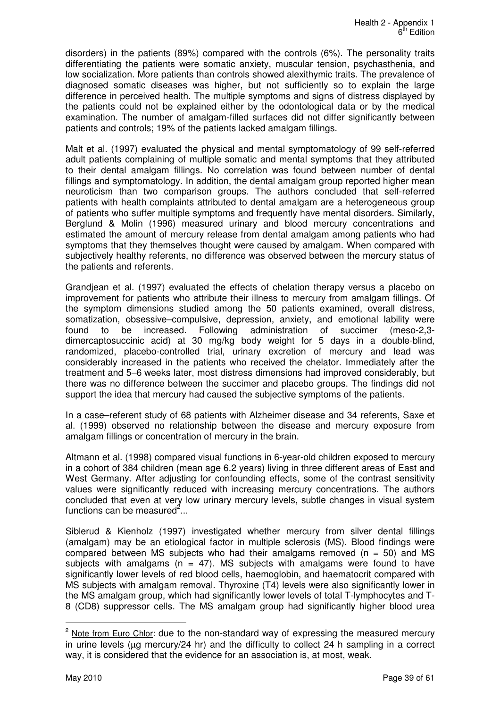disorders) in the patients (89%) compared with the controls (6%). The personality traits differentiating the patients were somatic anxiety, muscular tension, psychasthenia, and low socialization. More patients than controls showed alexithymic traits. The prevalence of diagnosed somatic diseases was higher, but not sufficiently so to explain the large difference in perceived health. The multiple symptoms and signs of distress displayed by the patients could not be explained either by the odontological data or by the medical examination. The number of amalgam-filled surfaces did not differ significantly between patients and controls; 19% of the patients lacked amalgam fillings.

Malt et al. (1997) evaluated the physical and mental symptomatology of 99 self-referred adult patients complaining of multiple somatic and mental symptoms that they attributed to their dental amalgam fillings. No correlation was found between number of dental fillings and symptomatology. In addition, the dental amalgam group reported higher mean neuroticism than two comparison groups. The authors concluded that self-referred patients with health complaints attributed to dental amalgam are a heterogeneous group of patients who suffer multiple symptoms and frequently have mental disorders. Similarly, Berglund & Molin (1996) measured urinary and blood mercury concentrations and estimated the amount of mercury release from dental amalgam among patients who had symptoms that they themselves thought were caused by amalgam. When compared with subjectively healthy referents, no difference was observed between the mercury status of the patients and referents.

Grandjean et al. (1997) evaluated the effects of chelation therapy versus a placebo on improvement for patients who attribute their illness to mercury from amalgam fillings. Of the symptom dimensions studied among the 50 patients examined, overall distress, somatization, obsessive–compulsive, depression, anxiety, and emotional lability were found to be increased. Following administration of succimer (meso-2,3 dimercaptosuccinic acid) at 30 mg/kg body weight for 5 days in a double-blind, randomized, placebo-controlled trial, urinary excretion of mercury and lead was considerably increased in the patients who received the chelator. Immediately after the treatment and 5–6 weeks later, most distress dimensions had improved considerably, but there was no difference between the succimer and placebo groups. The findings did not support the idea that mercury had caused the subjective symptoms of the patients.

In a case–referent study of 68 patients with Alzheimer disease and 34 referents, Saxe et al. (1999) observed no relationship between the disease and mercury exposure from amalgam fillings or concentration of mercury in the brain.

Altmann et al. (1998) compared visual functions in 6-year-old children exposed to mercury in a cohort of 384 children (mean age 6.2 years) living in three different areas of East and West Germany. After adjusting for confounding effects, some of the contrast sensitivity values were significantly reduced with increasing mercury concentrations. The authors concluded that even at very low urinary mercury levels, subtle changes in visual system functions can be measured $^2$ ...

Siblerud & Kienholz (1997) investigated whether mercury from silver dental fillings (amalgam) may be an etiological factor in multiple sclerosis (MS). Blood findings were compared between MS subjects who had their amalgams removed ( $n = 50$ ) and MS subjects with amalgams ( $n = 47$ ). MS subjects with amalgams were found to have significantly lower levels of red blood cells, haemoglobin, and haematocrit compared with MS subjects with amalgam removal. Thyroxine (T4) levels were also significantly lower in the MS amalgam group, which had significantly lower levels of total T-lymphocytes and T-8 (CD8) suppressor cells. The MS amalgam group had significantly higher blood urea

 $\overline{a}$ 

 $2$  Note from Euro Chlor: due to the non-standard way of expressing the measured mercury in urine levels ( $\mu$ g mercury/24 hr) and the difficulty to collect 24 h sampling in a correct way, it is considered that the evidence for an association is, at most, weak.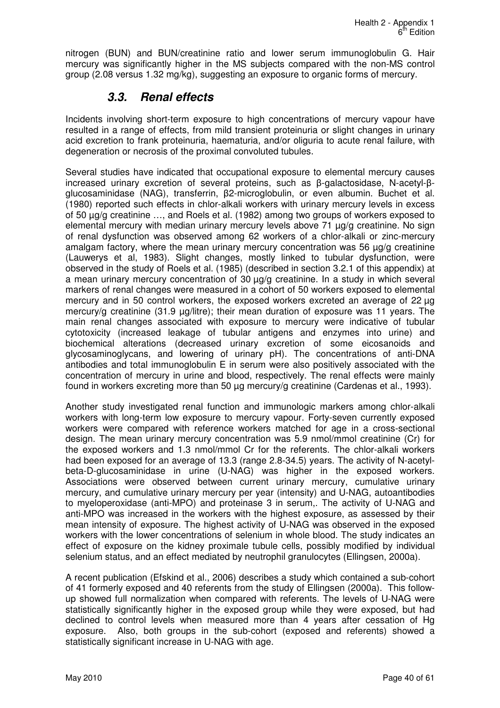nitrogen (BUN) and BUN/creatinine ratio and lower serum immunoglobulin G. Hair mercury was significantly higher in the MS subjects compared with the non-MS control group (2.08 versus 1.32 mg/kg), suggesting an exposure to organic forms of mercury.

## **3.3. Renal effects**

Incidents involving short-term exposure to high concentrations of mercury vapour have resulted in a range of effects, from mild transient proteinuria or slight changes in urinary acid excretion to frank proteinuria, haematuria, and/or oliguria to acute renal failure, with degeneration or necrosis of the proximal convoluted tubules.

Several studies have indicated that occupational exposure to elemental mercury causes increased urinary excretion of several proteins, such as β-galactosidase, N-acetyl-βglucosaminidase (NAG), transferrin, β2-microglobulin, or even albumin. Buchet et al. (1980) reported such effects in chlor-alkali workers with urinary mercury levels in excess of 50 µg/g creatinine …, and Roels et al. (1982) among two groups of workers exposed to elemental mercury with median urinary mercury levels above 71 µg/g creatinine. No sign of renal dysfunction was observed among 62 workers of a chlor-alkali or zinc-mercury amalgam factory, where the mean urinary mercury concentration was 56  $\mu q/q$  creatinine (Lauwerys et al, 1983). Slight changes, mostly linked to tubular dysfunction, were observed in the study of Roels et al. (1985) (described in section 3.2.1 of this appendix) at a mean urinary mercury concentration of 30 µg/g creatinine. In a study in which several markers of renal changes were measured in a cohort of 50 workers exposed to elemental mercury and in 50 control workers, the exposed workers excreted an average of 22 µg mercury/g creatinine (31.9 µg/litre); their mean duration of exposure was 11 years. The main renal changes associated with exposure to mercury were indicative of tubular cytotoxicity (increased leakage of tubular antigens and enzymes into urine) and biochemical alterations (decreased urinary excretion of some eicosanoids and glycosaminoglycans, and lowering of urinary pH). The concentrations of anti-DNA antibodies and total immunoglobulin E in serum were also positively associated with the concentration of mercury in urine and blood, respectively. The renal effects were mainly found in workers excreting more than 50 µg mercury/g creatinine (Cardenas et al., 1993).

Another study investigated renal function and immunologic markers among chlor-alkali workers with long-term low exposure to mercury vapour. Forty-seven currently exposed workers were compared with reference workers matched for age in a cross-sectional design. The mean urinary mercury concentration was 5.9 nmol/mmol creatinine (Cr) for the exposed workers and 1.3 nmol/mmol Cr for the referents. The chlor-alkali workers had been exposed for an average of 13.3 (range 2.8-34.5) years. The activity of N-acetylbeta-D-glucosaminidase in urine (U-NAG) was higher in the exposed workers. Associations were observed between current urinary mercury, cumulative urinary mercury, and cumulative urinary mercury per year (intensity) and U-NAG, autoantibodies to myeloperoxidase (anti-MPO) and proteinase 3 in serum,. The activity of U-NAG and anti-MPO was increased in the workers with the highest exposure, as assessed by their mean intensity of exposure. The highest activity of U-NAG was observed in the exposed workers with the lower concentrations of selenium in whole blood. The study indicates an effect of exposure on the kidney proximale tubule cells, possibly modified by individual selenium status, and an effect mediated by neutrophil granulocytes (Ellingsen, 2000a).

A recent publication (Efskind et al., 2006) describes a study which contained a sub-cohort of 41 formerly exposed and 40 referents from the study of Ellingsen (2000a). This followup showed full normalization when compared with referents. The levels of U-NAG were statistically significantly higher in the exposed group while they were exposed, but had declined to control levels when measured more than 4 years after cessation of Hg exposure. Also, both groups in the sub-cohort (exposed and referents) showed a statistically significant increase in U-NAG with age.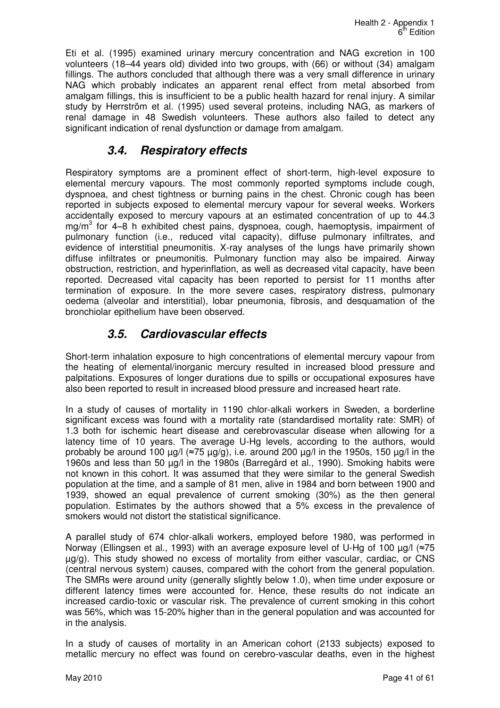Eti et al. (1995) examined urinary mercury concentration and NAG excretion in 100 volunteers (18–44 years old) divided into two groups, with (66) or without (34) amalgam fillings. The authors concluded that although there was a very small difference in urinary NAG which probably indicates an apparent renal effect from metal absorbed from amalgam fillings, this is insufficient to be a public health hazard for renal injury. A similar study by Herrström et al. (1995) used several proteins, including NAG, as markers of renal damage in 48 Swedish volunteers. These authors also failed to detect any significant indication of renal dysfunction or damage from amalgam.

### **3.4. Respiratory effects**

Respiratory symptoms are a prominent effect of short-term, high-level exposure to elemental mercury vapours. The most commonly reported symptoms include cough, dyspnoea, and chest tightness or burning pains in the chest. Chronic cough has been reported in subjects exposed to elemental mercury vapour for several weeks. Workers accidentally exposed to mercury vapours at an estimated concentration of up to 44.3 mg/m<sup>3</sup> for 4–8 h exhibited chest pains, dyspnoea, cough, haemoptysis, impairment of pulmonary function (i.e., reduced vital capacity), diffuse pulmonary infiltrates, and evidence of interstitial pneumonitis. X-ray analyses of the lungs have primarily shown diffuse infiltrates or pneumonitis. Pulmonary function may also be impaired. Airway obstruction, restriction, and hyperinflation, as well as decreased vital capacity, have been reported. Decreased vital capacity has been reported to persist for 11 months after termination of exposure. In the more severe cases, respiratory distress, pulmonary oedema (alveolar and interstitial), lobar pneumonia, fibrosis, and desquamation of the bronchiolar epithelium have been observed.

### **3.5. Cardiovascular effects**

Short-term inhalation exposure to high concentrations of elemental mercury vapour from the heating of elemental/inorganic mercury resulted in increased blood pressure and palpitations. Exposures of longer durations due to spills or occupational exposures have also been reported to result in increased blood pressure and increased heart rate.

In a study of causes of mortality in 1190 chlor-alkali workers in Sweden, a borderline significant excess was found with a mortality rate (standardised mortality rate: SMR) of 1.3 both for ischemic heart disease and cerebrovascular disease when allowing for a latency time of 10 years. The average U-Hg levels, according to the authors, would probably be around 100  $\mu$ g/l (≈75  $\mu$ g/g), i.e. around 200  $\mu$ g/l in the 1950s, 150  $\mu$ g/l in the 1960s and less than 50 µg/l in the 1980s (Barregård et al., 1990). Smoking habits were not known in this cohort. It was assumed that they were similar to the general Swedish population at the time, and a sample of 81 men, alive in 1984 and born between 1900 and 1939, showed an equal prevalence of current smoking (30%) as the then general population. Estimates by the authors showed that a 5% excess in the prevalence of smokers would not distort the statistical significance.

A parallel study of 674 chlor-alkali workers, employed before 1980, was performed in Norway (Ellingsen et al., 1993) with an average exposure level of U-Hg of 100 µg/l (≈75 µg/g). This study showed no excess of mortality from either vascular, cardiac, or CNS (central nervous system) causes, compared with the cohort from the general population. The SMRs were around unity (generally slightly below 1.0), when time under exposure or different latency times were accounted for. Hence, these results do not indicate an increased cardio-toxic or vascular risk. The prevalence of current smoking in this cohort was 56%, which was 15-20% higher than in the general population and was accounted for in the analysis.

In a study of causes of mortality in an American cohort (2133 subjects) exposed to metallic mercury no effect was found on cerebro-vascular deaths, even in the highest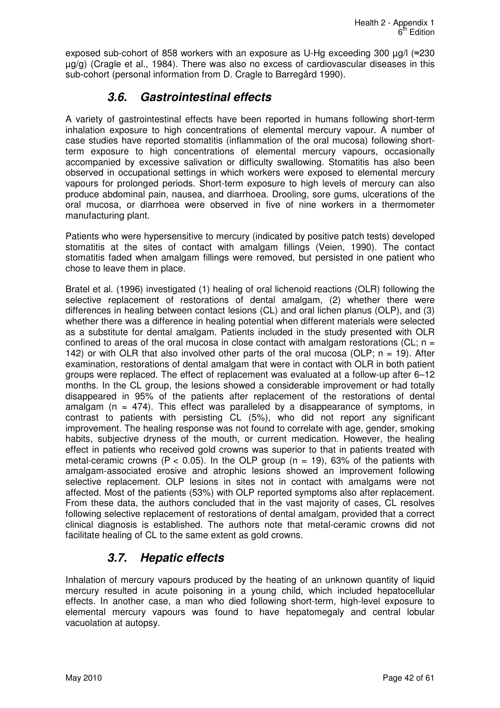exposed sub-cohort of 858 workers with an exposure as U-Hg exceeding 300  $\mu$ g/l ( $\approx$ 230 µg/g) (Cragle et al., 1984). There was also no excess of cardiovascular diseases in this sub-cohort (personal information from D. Cragle to Barregård 1990).

## **3.6. Gastrointestinal effects**

A variety of gastrointestinal effects have been reported in humans following short-term inhalation exposure to high concentrations of elemental mercury vapour. A number of case studies have reported stomatitis (inflammation of the oral mucosa) following shortterm exposure to high concentrations of elemental mercury vapours, occasionally accompanied by excessive salivation or difficulty swallowing. Stomatitis has also been observed in occupational settings in which workers were exposed to elemental mercury vapours for prolonged periods. Short-term exposure to high levels of mercury can also produce abdominal pain, nausea, and diarrhoea. Drooling, sore gums, ulcerations of the oral mucosa, or diarrhoea were observed in five of nine workers in a thermometer manufacturing plant.

Patients who were hypersensitive to mercury (indicated by positive patch tests) developed stomatitis at the sites of contact with amalgam fillings (Veien, 1990). The contact stomatitis faded when amalgam fillings were removed, but persisted in one patient who chose to leave them in place.

Bratel et al. (1996) investigated (1) healing of oral lichenoid reactions (OLR) following the selective replacement of restorations of dental amalgam, (2) whether there were differences in healing between contact lesions (CL) and oral lichen planus (OLP), and (3) whether there was a difference in healing potential when different materials were selected as a substitute for dental amalgam. Patients included in the study presented with OLR confined to areas of the oral mucosa in close contact with amalgam restorations (CL;  $n =$ 142) or with OLR that also involved other parts of the oral mucosa (OLP;  $n = 19$ ). After examination, restorations of dental amalgam that were in contact with OLR in both patient groups were replaced. The effect of replacement was evaluated at a follow-up after 6–12 months. In the CL group, the lesions showed a considerable improvement or had totally disappeared in 95% of the patients after replacement of the restorations of dental amalgam ( $n = 474$ ). This effect was paralleled by a disappearance of symptoms, in contrast to patients with persisting CL (5%), who did not report any significant improvement. The healing response was not found to correlate with age, gender, smoking habits, subjective dryness of the mouth, or current medication. However, the healing effect in patients who received gold crowns was superior to that in patients treated with metal-ceramic crowns ( $P < 0.05$ ). In the OLP group ( $n = 19$ ), 63% of the patients with amalgam-associated erosive and atrophic lesions showed an improvement following selective replacement. OLP lesions in sites not in contact with amalgams were not affected. Most of the patients (53%) with OLP reported symptoms also after replacement. From these data, the authors concluded that in the vast majority of cases, CL resolves following selective replacement of restorations of dental amalgam, provided that a correct clinical diagnosis is established. The authors note that metal-ceramic crowns did not facilitate healing of CL to the same extent as gold crowns.

## **3.7. Hepatic effects**

Inhalation of mercury vapours produced by the heating of an unknown quantity of liquid mercury resulted in acute poisoning in a young child, which included hepatocellular effects. In another case, a man who died following short-term, high-level exposure to elemental mercury vapours was found to have hepatomegaly and central lobular vacuolation at autopsy.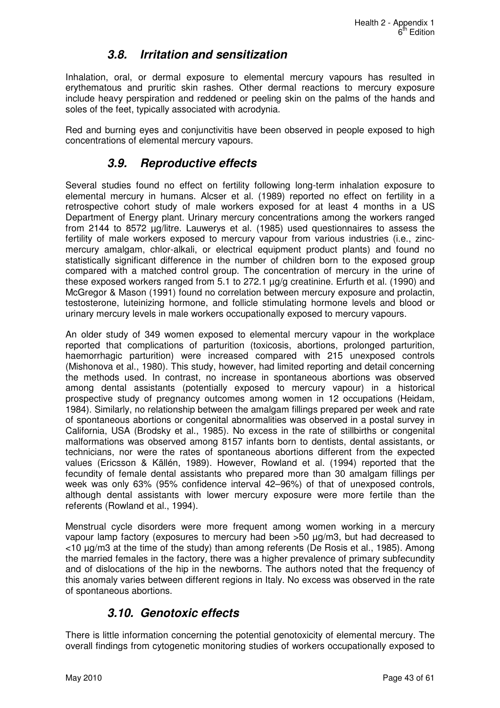### **3.8. Irritation and sensitization**

Inhalation, oral, or dermal exposure to elemental mercury vapours has resulted in erythematous and pruritic skin rashes. Other dermal reactions to mercury exposure include heavy perspiration and reddened or peeling skin on the palms of the hands and soles of the feet, typically associated with acrodynia.

Red and burning eyes and conjunctivitis have been observed in people exposed to high concentrations of elemental mercury vapours.

### **3.9. Reproductive effects**

Several studies found no effect on fertility following long-term inhalation exposure to elemental mercury in humans. Alcser et al. (1989) reported no effect on fertility in a retrospective cohort study of male workers exposed for at least 4 months in a US Department of Energy plant. Urinary mercury concentrations among the workers ranged from 2144 to 8572 µg/litre. Lauwerys et al. (1985) used questionnaires to assess the fertility of male workers exposed to mercury vapour from various industries (i.e., zincmercury amalgam, chlor-alkali, or electrical equipment product plants) and found no statistically significant difference in the number of children born to the exposed group compared with a matched control group. The concentration of mercury in the urine of these exposed workers ranged from 5.1 to 272.1 µg/g creatinine. Erfurth et al. (1990) and McGregor & Mason (1991) found no correlation between mercury exposure and prolactin, testosterone, luteinizing hormone, and follicle stimulating hormone levels and blood or urinary mercury levels in male workers occupationally exposed to mercury vapours.

An older study of 349 women exposed to elemental mercury vapour in the workplace reported that complications of parturition (toxicosis, abortions, prolonged parturition, haemorrhagic parturition) were increased compared with 215 unexposed controls (Mishonova et al., 1980). This study, however, had limited reporting and detail concerning the methods used. In contrast, no increase in spontaneous abortions was observed among dental assistants (potentially exposed to mercury vapour) in a historical prospective study of pregnancy outcomes among women in 12 occupations (Heidam, 1984). Similarly, no relationship between the amalgam fillings prepared per week and rate of spontaneous abortions or congenital abnormalities was observed in a postal survey in California, USA (Brodsky et al., 1985). No excess in the rate of stillbirths or congenital malformations was observed among 8157 infants born to dentists, dental assistants, or technicians, nor were the rates of spontaneous abortions different from the expected values (Ericsson & Källén, 1989). However, Rowland et al. (1994) reported that the fecundity of female dental assistants who prepared more than 30 amalgam fillings per week was only 63% (95% confidence interval 42–96%) of that of unexposed controls, although dental assistants with lower mercury exposure were more fertile than the referents (Rowland et al., 1994).

Menstrual cycle disorders were more frequent among women working in a mercury vapour lamp factory (exposures to mercury had been >50 µg/m3, but had decreased to <10 µg/m3 at the time of the study) than among referents (De Rosis et al., 1985). Among the married females in the factory, there was a higher prevalence of primary subfecundity and of dislocations of the hip in the newborns. The authors noted that the frequency of this anomaly varies between different regions in Italy. No excess was observed in the rate of spontaneous abortions.

## **3.10. Genotoxic effects**

There is little information concerning the potential genotoxicity of elemental mercury. The overall findings from cytogenetic monitoring studies of workers occupationally exposed to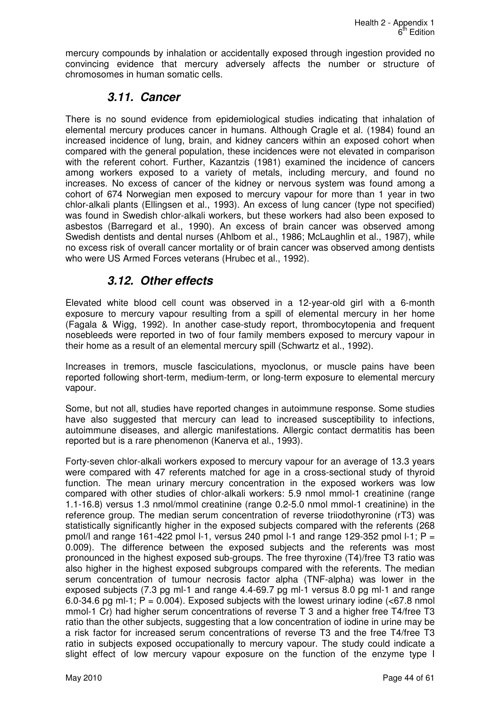mercury compounds by inhalation or accidentally exposed through ingestion provided no convincing evidence that mercury adversely affects the number or structure of chromosomes in human somatic cells.

### **3.11. Cancer**

There is no sound evidence from epidemiological studies indicating that inhalation of elemental mercury produces cancer in humans. Although Cragle et al. (1984) found an increased incidence of lung, brain, and kidney cancers within an exposed cohort when compared with the general population, these incidences were not elevated in comparison with the referent cohort. Further, Kazantzis (1981) examined the incidence of cancers among workers exposed to a variety of metals, including mercury, and found no increases. No excess of cancer of the kidney or nervous system was found among a cohort of 674 Norwegian men exposed to mercury vapour for more than 1 year in two chlor-alkali plants (Ellingsen et al., 1993). An excess of lung cancer (type not specified) was found in Swedish chlor-alkali workers, but these workers had also been exposed to asbestos (Barregard et al., 1990). An excess of brain cancer was observed among Swedish dentists and dental nurses (Ahlbom et al., 1986; McLaughlin et al., 1987), while no excess risk of overall cancer mortality or of brain cancer was observed among dentists who were US Armed Forces veterans (Hrubec et al., 1992).

## **3.12. Other effects**

Elevated white blood cell count was observed in a 12-year-old girl with a 6-month exposure to mercury vapour resulting from a spill of elemental mercury in her home (Fagala & Wigg, 1992). In another case-study report, thrombocytopenia and frequent nosebleeds were reported in two of four family members exposed to mercury vapour in their home as a result of an elemental mercury spill (Schwartz et al., 1992).

Increases in tremors, muscle fasciculations, myoclonus, or muscle pains have been reported following short-term, medium-term, or long-term exposure to elemental mercury vapour.

Some, but not all, studies have reported changes in autoimmune response. Some studies have also suggested that mercury can lead to increased susceptibility to infections, autoimmune diseases, and allergic manifestations. Allergic contact dermatitis has been reported but is a rare phenomenon (Kanerva et al., 1993).

Forty-seven chlor-alkali workers exposed to mercury vapour for an average of 13.3 years were compared with 47 referents matched for age in a cross-sectional study of thyroid function. The mean urinary mercury concentration in the exposed workers was low compared with other studies of chlor-alkali workers: 5.9 nmol mmol-1 creatinine (range 1.1-16.8) versus 1.3 nmol/mmol creatinine (range 0.2-5.0 nmol mmol-1 creatinine) in the reference group. The median serum concentration of reverse triiodothyronine (rT3) was statistically significantly higher in the exposed subjects compared with the referents (268 pmol/l and range 161-422 pmol  $l-1$ , versus 240 pmol  $l-1$  and range 129-352 pmol  $l-1$ ; P = 0.009). The difference between the exposed subjects and the referents was most pronounced in the highest exposed sub-groups. The free thyroxine (T4)/free T3 ratio was also higher in the highest exposed subgroups compared with the referents. The median serum concentration of tumour necrosis factor alpha (TNF-alpha) was lower in the exposed subjects (7.3 pg ml-1 and range 4.4-69.7 pg ml-1 versus 8.0 pg ml-1 and range 6.0-34.6 pg ml-1;  $P = 0.004$ ). Exposed subjects with the lowest urinary iodine (<67.8 nmol mmol-1 Cr) had higher serum concentrations of reverse T 3 and a higher free T4/free T3 ratio than the other subjects, suggesting that a low concentration of iodine in urine may be a risk factor for increased serum concentrations of reverse T3 and the free T4/free T3 ratio in subjects exposed occupationally to mercury vapour. The study could indicate a slight effect of low mercury vapour exposure on the function of the enzyme type I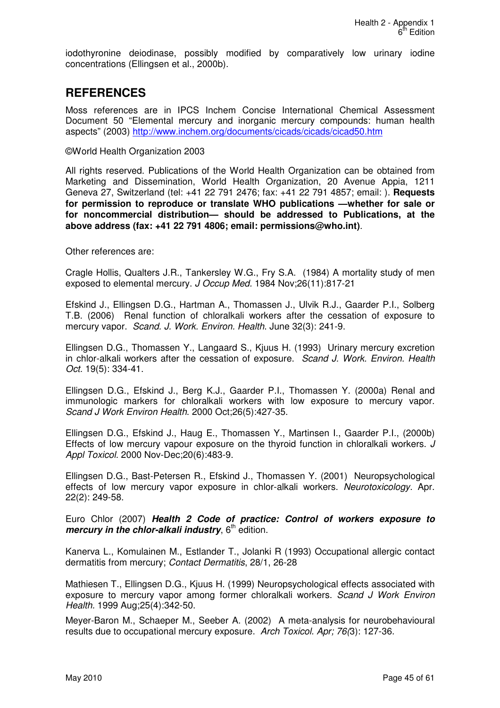iodothyronine deiodinase, possibly modified by comparatively low urinary iodine concentrations (Ellingsen et al., 2000b).

### **REFERENCES**

Moss references are in IPCS Inchem Concise International Chemical Assessment Document 50 "Elemental mercury and inorganic mercury compounds: human health aspects" (2003) http://www.inchem.org/documents/cicads/cicads/cicad50.htm

©World Health Organization 2003

All rights reserved. Publications of the World Health Organization can be obtained from Marketing and Dissemination, World Health Organization, 20 Avenue Appia, 1211 Geneva 27, Switzerland (tel: +41 22 791 2476; fax: +41 22 791 4857; email: ). **Requests for permission to reproduce or translate WHO publications —whether for sale or for noncommercial distribution— should be addressed to Publications, at the above address (fax: +41 22 791 4806; email: permissions@who.int)**.

Other references are:

Cragle Hollis, Qualters J.R., Tankersley W.G., Fry S.A. (1984) A mortality study of men exposed to elemental mercury. J Occup Med. 1984 Nov;26(11):817-21

Efskind J., Ellingsen D.G., Hartman A., Thomassen J., Ulvik R.J., Gaarder P.I., Solberg T.B. (2006) Renal function of chloralkali workers after the cessation of exposure to mercury vapor. Scand. J. Work. Environ. Health. June 32(3): 241-9.

Ellingsen D.G., Thomassen Y., Langaard S., Kjuus H. (1993) Urinary mercury excretion in chlor-alkali workers after the cessation of exposure. Scand J. Work. Environ. Health Oct. 19(5): 334-41.

Ellingsen D.G., Efskind J., Berg K.J., Gaarder P.I., Thomassen Y. (2000a) Renal and immunologic markers for chloralkali workers with low exposure to mercury vapor. Scand J Work Environ Health. 2000 Oct;26(5):427-35.

Ellingsen D.G., Efskind J., Haug E., Thomassen Y., Martinsen I., Gaarder P.I., (2000b) Effects of low mercury vapour exposure on the thyroid function in chloralkali workers. J Appl Toxicol. 2000 Nov-Dec;20(6):483-9.

Ellingsen D.G., Bast-Petersen R., Efskind J., Thomassen Y. (2001) Neuropsychological effects of low mercury vapor exposure in chlor-alkali workers. Neurotoxicology. Apr. 22(2): 249-58.

Euro Chlor (2007) **Health 2 Code of practice: Control of workers exposure to mercury in the chlor-alkali industry**,  $6<sup>th</sup>$  edition.

Kanerva L., Komulainen M., Estlander T., Jolanki R (1993) Occupational allergic contact dermatitis from mercury; Contact Dermatitis, 28/1, 26-28

Mathiesen T., Ellingsen D.G., Kjuus H. (1999) Neuropsychological effects associated with exposure to mercury vapor among former chloralkali workers. Scand J Work Environ Health. 1999 Aug;25(4):342-50.

Meyer-Baron M., Schaeper M., Seeber A. (2002) A meta-analysis for neurobehavioural results due to occupational mercury exposure. Arch Toxicol. Apr; 76(3): 127-36.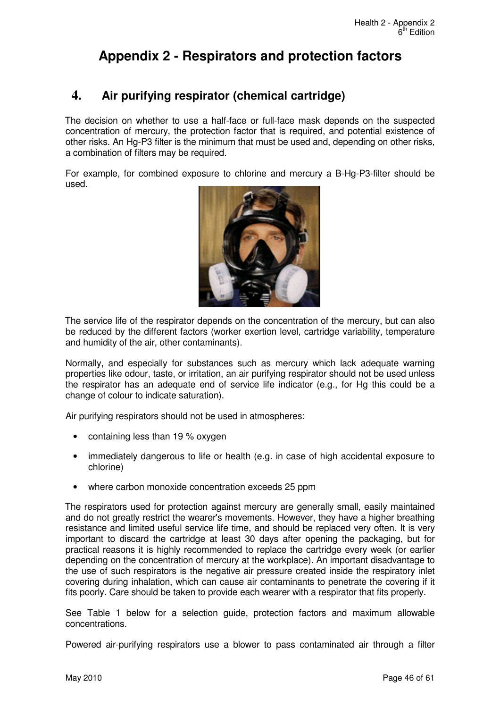## **Appendix 2 - Respirators and protection factors**

## **4. Air purifying respirator (chemical cartridge)**

The decision on whether to use a half-face or full-face mask depends on the suspected concentration of mercury, the protection factor that is required, and potential existence of other risks. An Hg-P3 filter is the minimum that must be used and, depending on other risks, a combination of filters may be required.

 For example, for combined exposure to chlorine and mercury a B-Hg-P3-filter should be used.



The service life of the respirator depends on the concentration of the mercury, but can also be reduced by the different factors (worker exertion level, cartridge variability, temperature and humidity of the air, other contaminants).

 Normally, and especially for substances such as mercury which lack adequate warning properties like odour, taste, or irritation, an air purifying respirator should not be used unless the respirator has an adequate end of service life indicator (e.g., for Hg this could be a change of colour to indicate saturation).

Air purifying respirators should not be used in atmospheres:

- containing less than 19 % oxygen
- immediately dangerous to life or health (e.g. in case of high accidental exposure to chlorine)
- where carbon monoxide concentration exceeds 25 ppm

The respirators used for protection against mercury are generally small, easily maintained and do not greatly restrict the wearer's movements. However, they have a higher breathing resistance and limited useful service life time, and should be replaced very often. It is very important to discard the cartridge at least 30 days after opening the packaging, but for practical reasons it is highly recommended to replace the cartridge every week (or earlier depending on the concentration of mercury at the workplace). An important disadvantage to the use of such respirators is the negative air pressure created inside the respiratory inlet covering during inhalation, which can cause air contaminants to penetrate the covering if it fits poorly. Care should be taken to provide each wearer with a respirator that fits properly.

 See Table 1 below for a selection guide, protection factors and maximum allowable concentrations.

Powered air-purifying respirators use a blower to pass contaminated air through a filter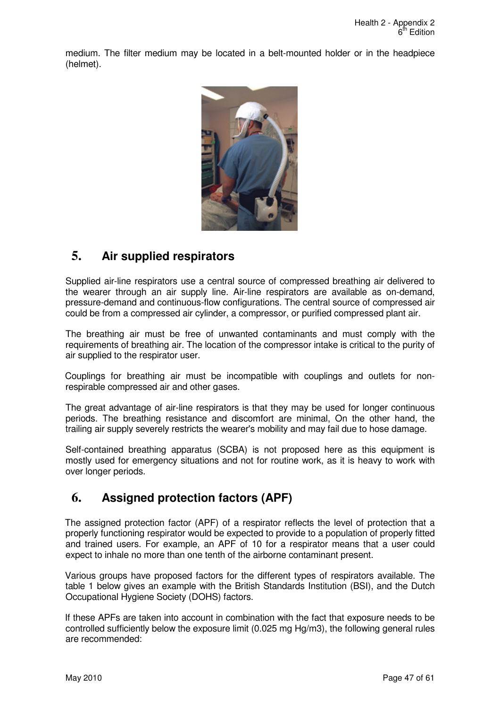medium. The filter medium may be located in a belt-mounted holder or in the headpiece (helmet).



## **5. Air supplied respirators**

 Supplied air-line respirators use a central source of compressed breathing air delivered to the wearer through an air supply line. Air-line respirators are available as on-demand, pressure-demand and continuous-flow configurations. The central source of compressed air could be from a compressed air cylinder, a compressor, or purified compressed plant air.

 The breathing air must be free of unwanted contaminants and must comply with the requirements of breathing air. The location of the compressor intake is critical to the purity of air supplied to the respirator user.

Couplings for breathing air must be incompatible with couplings and outlets for nonrespirable compressed air and other gases.

 The great advantage of air-line respirators is that they may be used for longer continuous periods. The breathing resistance and discomfort are minimal, On the other hand, the trailing air supply severely restricts the wearer's mobility and may fail due to hose damage.

 Self-contained breathing apparatus (SCBA) is not proposed here as this equipment is mostly used for emergency situations and not for routine work, as it is heavy to work with over longer periods.

## **6. Assigned protection factors (APF)**

The assigned protection factor (APF) of a respirator reflects the level of protection that a properly functioning respirator would be expected to provide to a population of properly fitted and trained users. For example, an APF of 10 for a respirator means that a user could expect to inhale no more than one tenth of the airborne contaminant present.

Various groups have proposed factors for the different types of respirators available. The table 1 below gives an example with the British Standards Institution (BSI), and the Dutch Occupational Hygiene Society (DOHS) factors.

If these APFs are taken into account in combination with the fact that exposure needs to be controlled sufficiently below the exposure limit (0.025 mg Hg/m3), the following general rules are recommended: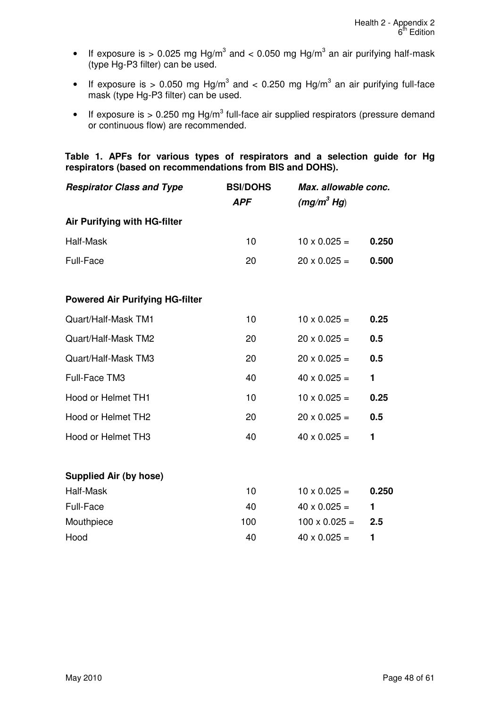- If exposure is > 0.025 mg Hg/m<sup>3</sup> and < 0.050 mg Hg/m<sup>3</sup> an air purifying half-mask (type Hg-P3 filter) can be used.
- If exposure is > 0.050 mg Hg/m<sup>3</sup> and < 0.250 mg Hg/m<sup>3</sup> an air purifying full-face mask (type Hg-P3 filter) can be used.
- If exposure is > 0.250 mg Hg/m<sup>3</sup> full-face air supplied respirators (pressure demand or continuous flow) are recommended.

**Table 1. APFs for various types of respirators and a selection guide for Hg respirators (based on recommendations from BIS and DOHS).** 

| <b>Respirator Class and Type</b>       | <b>BSI/DOHS</b><br><b>APF</b> | Max. allowable conc.<br>$(mg/m^3 Hg)$ |       |
|----------------------------------------|-------------------------------|---------------------------------------|-------|
| Air Purifying with HG-filter           |                               |                                       |       |
| <b>Half-Mask</b>                       | 10                            | $10 \times 0.025 =$                   | 0.250 |
| <b>Full-Face</b>                       | 20                            | $20 \times 0.025 =$                   | 0.500 |
|                                        |                               |                                       |       |
| <b>Powered Air Purifying HG-filter</b> |                               |                                       |       |
| Quart/Half-Mask TM1                    | 10                            | $10 \times 0.025 =$                   | 0.25  |
| Quart/Half-Mask TM2                    | 20                            | $20 \times 0.025 =$                   | 0.5   |
| Quart/Half-Mask TM3                    | 20                            | $20 \times 0.025 =$                   | 0.5   |
| Full-Face TM3                          | 40                            | $40 \times 0.025 =$                   | 1     |
| Hood or Helmet TH1                     | 10                            | $10 \times 0.025 =$                   | 0.25  |
| Hood or Helmet TH2                     | 20                            | $20 \times 0.025 =$                   | 0.5   |
| Hood or Helmet TH3                     | 40                            | $40 \times 0.025 =$                   | 1     |
|                                        |                               |                                       |       |
| <b>Supplied Air (by hose)</b>          |                               |                                       |       |
| Half-Mask                              | 10                            | $10 \times 0.025 =$                   | 0.250 |
| <b>Full-Face</b>                       | 40                            | $40 \times 0.025 =$                   | 1     |
| Mouthpiece                             | 100                           | $100 \times 0.025 =$                  | 2.5   |
| Hood                                   | 40                            | $40 \times 0.025 =$                   | 1     |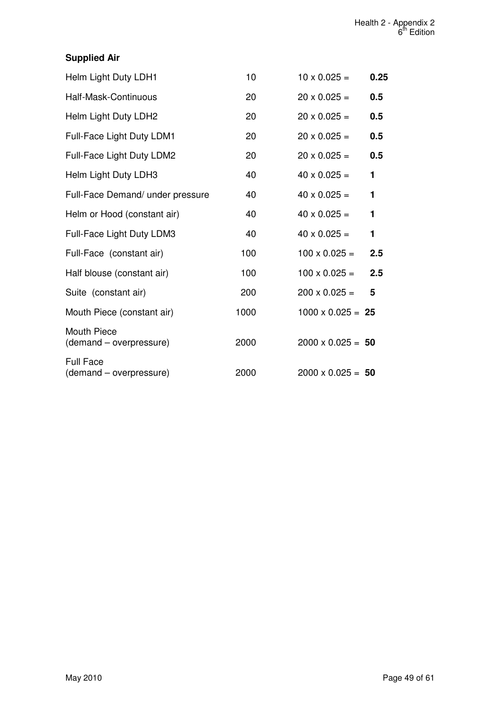### **Supplied Air**

| Helm Light Duty LDH1                          | 10   | $10 \times 0.025 =$      | 0.25 |
|-----------------------------------------------|------|--------------------------|------|
| Half-Mask-Continuous                          | 20   | $20 \times 0.025 =$      | 0.5  |
| Helm Light Duty LDH2                          | 20   | $20 \times 0.025 =$      | 0.5  |
| Full-Face Light Duty LDM1                     | 20   | $20 \times 0.025 =$      | 0.5  |
| Full-Face Light Duty LDM2                     | 20   | $20 \times 0.025 =$      | 0.5  |
| Helm Light Duty LDH3                          | 40   | $40 \times 0.025 =$      | 1    |
| Full-Face Demand/ under pressure              | 40   | $40 \times 0.025 =$      | 1    |
| Helm or Hood (constant air)                   | 40   | $40 \times 0.025 =$      | 1    |
| Full-Face Light Duty LDM3                     | 40   | $40 \times 0.025 =$      | 1    |
| Full-Face (constant air)                      | 100  | $100 \times 0.025 =$     | 2.5  |
| Half blouse (constant air)                    | 100  | $100 \times 0.025 =$     | 2.5  |
| Suite (constant air)                          | 200  | $200 \times 0.025 =$     | 5    |
| Mouth Piece (constant air)                    | 1000 | $1000 \times 0.025 = 25$ |      |
| <b>Mouth Piece</b><br>(demand – overpressure) | 2000 | $2000 \times 0.025 = 50$ |      |
| <b>Full Face</b><br>(demand - overpressure)   | 2000 | $2000 \times 0.025 = 50$ |      |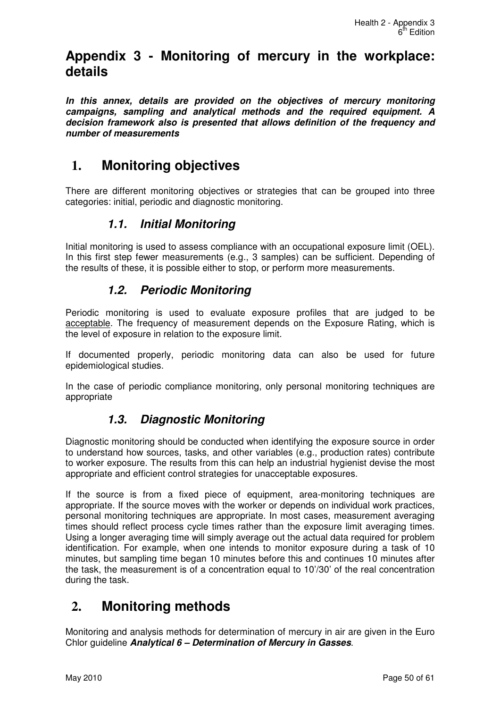## **Appendix 3 - Monitoring of mercury in the workplace: details**

**In this annex, details are provided on the objectives of mercury monitoring campaigns, sampling and analytical methods and the required equipment. A decision framework also is presented that allows definition of the frequency and number of measurements**

## **1. Monitoring objectives**

There are different monitoring objectives or strategies that can be grouped into three categories: initial, periodic and diagnostic monitoring.

### **1.1. Initial Monitoring**

Initial monitoring is used to assess compliance with an occupational exposure limit (OEL). In this first step fewer measurements (e.g., 3 samples) can be sufficient. Depending of the results of these, it is possible either to stop, or perform more measurements.

## **1.2. Periodic Monitoring**

Periodic monitoring is used to evaluate exposure profiles that are judged to be acceptable. The frequency of measurement depends on the Exposure Rating, which is the level of exposure in relation to the exposure limit.

If documented properly, periodic monitoring data can also be used for future epidemiological studies.

In the case of periodic compliance monitoring, only personal monitoring techniques are appropriate

## **1.3. Diagnostic Monitoring**

Diagnostic monitoring should be conducted when identifying the exposure source in order to understand how sources, tasks, and other variables (e.g., production rates) contribute to worker exposure. The results from this can help an industrial hygienist devise the most appropriate and efficient control strategies for unacceptable exposures.

If the source is from a fixed piece of equipment, area-monitoring techniques are appropriate. If the source moves with the worker or depends on individual work practices, personal monitoring techniques are appropriate. In most cases, measurement averaging times should reflect process cycle times rather than the exposure limit averaging times. Using a longer averaging time will simply average out the actual data required for problem identification. For example, when one intends to monitor exposure during a task of 10 minutes, but sampling time began 10 minutes before this and continues 10 minutes after the task, the measurement is of a concentration equal to 10'/30' of the real concentration during the task.

## **2. Monitoring methods**

Monitoring and analysis methods for determination of mercury in air are given in the Euro Chlor guideline **Analytical 6 – Determination of Mercury in Gasses**.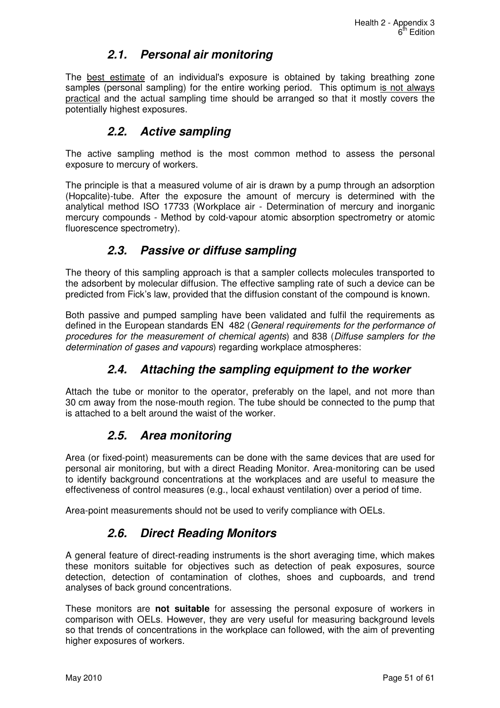## **2.1. Personal air monitoring**

The best estimate of an individual's exposure is obtained by taking breathing zone samples (personal sampling) for the entire working period. This optimum is not always practical and the actual sampling time should be arranged so that it mostly covers the potentially highest exposures.

## **2.2. Active sampling**

The active sampling method is the most common method to assess the personal exposure to mercury of workers.

The principle is that a measured volume of air is drawn by a pump through an adsorption (Hopcalite)-tube. After the exposure the amount of mercury is determined with the analytical method ISO 17733 (Workplace air - Determination of mercury and inorganic mercury compounds - Method by cold-vapour atomic absorption spectrometry or atomic fluorescence spectrometry).

### **2.3. Passive or diffuse sampling**

The theory of this sampling approach is that a sampler collects molecules transported to the adsorbent by molecular diffusion. The effective sampling rate of such a device can be predicted from Fick's law, provided that the diffusion constant of the compound is known.

Both passive and pumped sampling have been validated and fulfil the requirements as defined in the European standards EN 482 (General requirements for the performance of procedures for the measurement of chemical agents) and 838 (Diffuse samplers for the determination of gases and vapours) regarding workplace atmospheres:

## **2.4. Attaching the sampling equipment to the worker**

Attach the tube or monitor to the operator, preferably on the lapel, and not more than 30 cm away from the nose-mouth region. The tube should be connected to the pump that is attached to a belt around the waist of the worker.

## **2.5. Area monitoring**

Area (or fixed-point) measurements can be done with the same devices that are used for personal air monitoring, but with a direct Reading Monitor. Area-monitoring can be used to identify background concentrations at the workplaces and are useful to measure the effectiveness of control measures (e.g., local exhaust ventilation) over a period of time.

Area-point measurements should not be used to verify compliance with OELs.

## **2.6. Direct Reading Monitors**

A general feature of direct-reading instruments is the short averaging time, which makes these monitors suitable for objectives such as detection of peak exposures, source detection, detection of contamination of clothes, shoes and cupboards, and trend analyses of back ground concentrations.

These monitors are **not suitable** for assessing the personal exposure of workers in comparison with OELs. However, they are very useful for measuring background levels so that trends of concentrations in the workplace can followed, with the aim of preventing higher exposures of workers.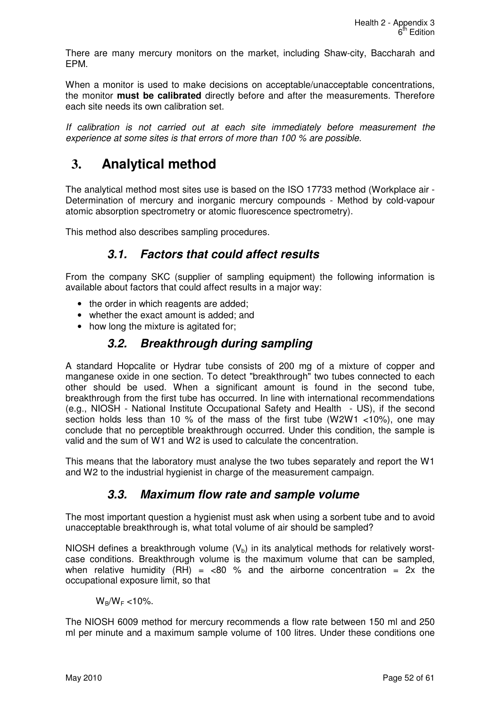There are many mercury monitors on the market, including Shaw-city, Baccharah and EPM.

When a monitor is used to make decisions on acceptable/unacceptable concentrations, the monitor **must be calibrated** directly before and after the measurements. Therefore each site needs its own calibration set.

If calibration is not carried out at each site immediately before measurement the experience at some sites is that errors of more than 100 % are possible.

## **3. Analytical method**

The analytical method most sites use is based on the ISO 17733 method (Workplace air - Determination of mercury and inorganic mercury compounds - Method by cold-vapour atomic absorption spectrometry or atomic fluorescence spectrometry).

This method also describes sampling procedures.

## **3.1. Factors that could affect results**

From the company SKC (supplier of sampling equipment) the following information is available about factors that could affect results in a major way:

- the order in which reagents are added;
- whether the exact amount is added; and
- how long the mixture is agitated for;

### **3.2. Breakthrough during sampling**

A standard Hopcalite or Hydrar tube consists of 200 mg of a mixture of copper and manganese oxide in one section. To detect "breakthrough" two tubes connected to each other should be used. When a significant amount is found in the second tube, breakthrough from the first tube has occurred. In line with international recommendations (e.g., NIOSH - National Institute Occupational Safety and Health - US), if the second section holds less than 10 % of the mass of the first tube (W2W1 <10%), one may conclude that no perceptible breakthrough occurred. Under this condition, the sample is valid and the sum of W1 and W2 is used to calculate the concentration.

This means that the laboratory must analyse the two tubes separately and report the W1 and W2 to the industrial hygienist in charge of the measurement campaign.

### **3.3. Maximum flow rate and sample volume**

The most important question a hygienist must ask when using a sorbent tube and to avoid unacceptable breakthrough is, what total volume of air should be sampled?

NIOSH defines a breakthrough volume  $(V<sub>b</sub>)$  in its analytical methods for relatively worstcase conditions. Breakthrough volume is the maximum volume that can be sampled, when relative humidity  $(RH) = <80$  % and the airborne concentration = 2x the occupational exposure limit, so that

 $W_{B}/W_{F}$  <10%.

The NIOSH 6009 method for mercury recommends a flow rate between 150 ml and 250 ml per minute and a maximum sample volume of 100 litres. Under these conditions one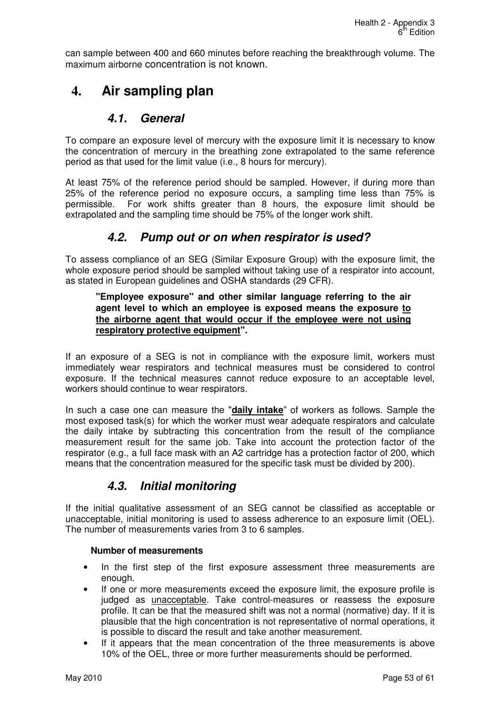can sample between 400 and 660 minutes before reaching the breakthrough volume. The maximum airborne concentration is not known.

## **4. Air sampling plan**

## **4.1. General**

To compare an exposure level of mercury with the exposure limit it is necessary to know the concentration of mercury in the breathing zone extrapolated to the same reference period as that used for the limit value (i.e., 8 hours for mercury).

At least 75% of the reference period should be sampled. However, if during more than 25% of the reference period no exposure occurs, a sampling time less than 75% is permissible. For work shifts greater than 8 hours, the exposure limit should be extrapolated and the sampling time should be 75% of the longer work shift.

## **4.2. Pump out or on when respirator is used?**

To assess compliance of an SEG (Similar Exposure Group) with the exposure limit, the whole exposure period should be sampled without taking use of a respirator into account, as stated in European guidelines and OSHA standards (29 CFR).

#### **"Employee exposure" and other similar language referring to the air agent level to which an employee is exposed means the exposure to the airborne agent that would occur if the employee were not using respiratory protective equipment".**

If an exposure of a SEG is not in compliance with the exposure limit, workers must immediately wear respirators and technical measures must be considered to control exposure. If the technical measures cannot reduce exposure to an acceptable level, workers should continue to wear respirators.

In such a case one can measure the "**daily intake**" of workers as follows. Sample the most exposed task(s) for which the worker must wear adequate respirators and calculate the daily intake by subtracting this concentration from the result of the compliance measurement result for the same job. Take into account the protection factor of the respirator (e.g., a full face mask with an A2 cartridge has a protection factor of 200, which means that the concentration measured for the specific task must be divided by 200).

## **4.3. Initial monitoring**

If the initial qualitative assessment of an SEG cannot be classified as acceptable or unacceptable, initial monitoring is used to assess adherence to an exposure limit (OEL). The number of measurements varies from 3 to 6 samples.

#### **Number of measurements**

- In the first step of the first exposure assessment three measurements are enough.
- If one or more measurements exceed the exposure limit, the exposure profile is judged as **unacceptable**. Take control-measures or reassess the exposure profile. It can be that the measured shift was not a normal (normative) day. If it is plausible that the high concentration is not representative of normal operations, it is possible to discard the result and take another measurement.
- If it appears that the mean concentration of the three measurements is above 10% of the OEL, three or more further measurements should be performed.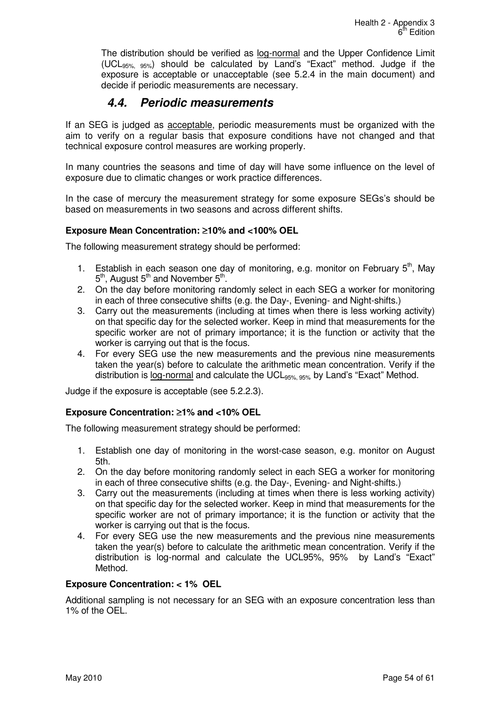The distribution should be verified as log-normal and the Upper Confidence Limit (UCL95%, 95%) should be calculated by Land's "Exact" method. Judge if the exposure is acceptable or unacceptable (see 5.2.4 in the main document) and decide if periodic measurements are necessary.

### **4.4. Periodic measurements**

If an SEG is judged as acceptable, periodic measurements must be organized with the aim to verify on a regular basis that exposure conditions have not changed and that technical exposure control measures are working properly.

In many countries the seasons and time of day will have some influence on the level of exposure due to climatic changes or work practice differences.

In the case of mercury the measurement strategy for some exposure SEGs's should be based on measurements in two seasons and across different shifts.

#### **Exposure Mean Concentration:** ≥**10% and <100% OEL**

The following measurement strategy should be performed:

- 1. Establish in each season one day of monitoring, e.g. monitor on February  $5<sup>th</sup>$ , May 5<sup>th</sup>, August 5<sup>th</sup> and November 5<sup>th</sup>.
- 2. On the day before monitoring randomly select in each SEG a worker for monitoring in each of three consecutive shifts (e.g. the Day-, Evening- and Night-shifts.)
- 3. Carry out the measurements (including at times when there is less working activity) on that specific day for the selected worker. Keep in mind that measurements for the specific worker are not of primary importance; it is the function or activity that the worker is carrying out that is the focus.
- 4. For every SEG use the new measurements and the previous nine measurements taken the year(s) before to calculate the arithmetic mean concentration. Verify if the distribution is log-normal and calculate the UCL<sub>95% 95%</sub> by Land's "Exact" Method.

Judge if the exposure is acceptable (see 5.2.2.3).

#### **Exposure Concentration:** ≥**1% and <10% OEL**

The following measurement strategy should be performed:

- 1. Establish one day of monitoring in the worst-case season, e.g. monitor on August 5th.
- 2. On the day before monitoring randomly select in each SEG a worker for monitoring in each of three consecutive shifts (e.g. the Day-, Evening- and Night-shifts.)
- 3. Carry out the measurements (including at times when there is less working activity) on that specific day for the selected worker. Keep in mind that measurements for the specific worker are not of primary importance; it is the function or activity that the worker is carrying out that is the focus.
- 4. For every SEG use the new measurements and the previous nine measurements taken the year(s) before to calculate the arithmetic mean concentration. Verify if the distribution is log-normal and calculate the UCL95%, 95% by Land's "Exact" Method.

#### **Exposure Concentration: < 1% OEL**

Additional sampling is not necessary for an SEG with an exposure concentration less than 1% of the OEL.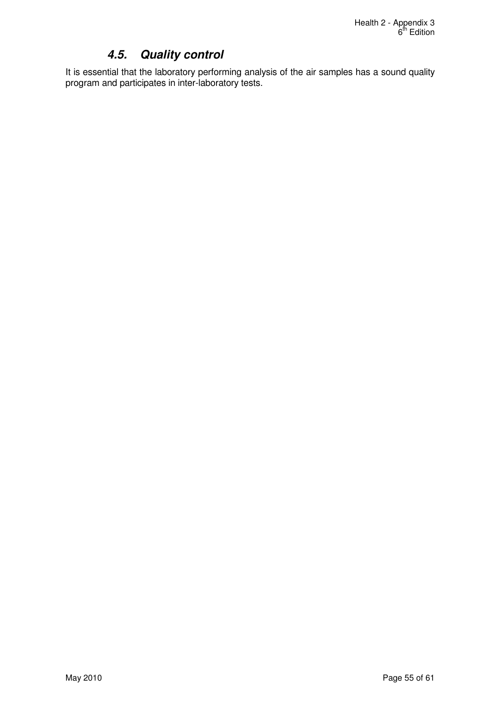## **4.5. Quality control**

It is essential that the laboratory performing analysis of the air samples has a sound quality program and participates in inter-laboratory tests.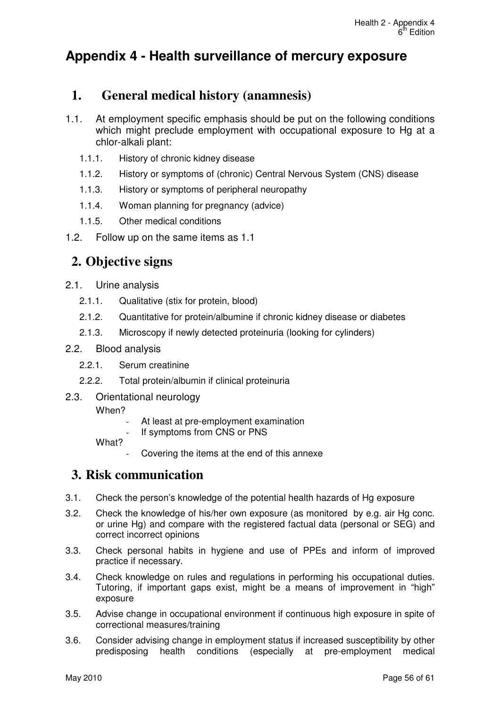## **Appendix 4 - Health surveillance of mercury exposure**

## **1. General medical history (anamnesis)**

- 1.1. At employment specific emphasis should be put on the following conditions which might preclude employment with occupational exposure to Ha at a chlor-alkali plant:
	- 1.1.1. History of chronic kidney disease
	- 1.1.2. History or symptoms of (chronic) Central Nervous System (CNS) disease
	- 1.1.3. History or symptoms of peripheral neuropathy
	- 1.1.4. Woman planning for pregnancy (advice)
	- 1.1.5. Other medical conditions
- 1.2. Follow up on the same items as 1.1

## **2. Objective signs**

- 2.1. Urine analysis
	- 2.1.1. Qualitative (stix for protein, blood)
	- 2.1.2. Quantitative for protein/albumine if chronic kidney disease or diabetes
	- 2.1.3. Microscopy if newly detected proteinuria (looking for cylinders)

#### 2.2. Blood analysis

- 2.2.1. Serum creatinine
- 2.2.2. Total protein/albumin if clinical proteinuria
- 2.3. Orientational neurology

When?

- At least at pre-employment examination
- If symptoms from CNS or PNS

What?

Covering the items at the end of this annexe

### **3. Risk communication**

- 3.1. Check the person's knowledge of the potential health hazards of Hg exposure
- 3.2. Check the knowledge of his/her own exposure (as monitored by e.g. air Hg conc. or urine Hg) and compare with the registered factual data (personal or SEG) and correct incorrect opinions
- 3.3. Check personal habits in hygiene and use of PPEs and inform of improved practice if necessary.
- 3.4. Check knowledge on rules and regulations in performing his occupational duties. Tutoring, if important gaps exist, might be a means of improvement in "high" exposure
- 3.5. Advise change in occupational environment if continuous high exposure in spite of correctional measures/training
- 3.6. Consider advising change in employment status if increased susceptibility by other predisposing health conditions (especially at pre-employment medical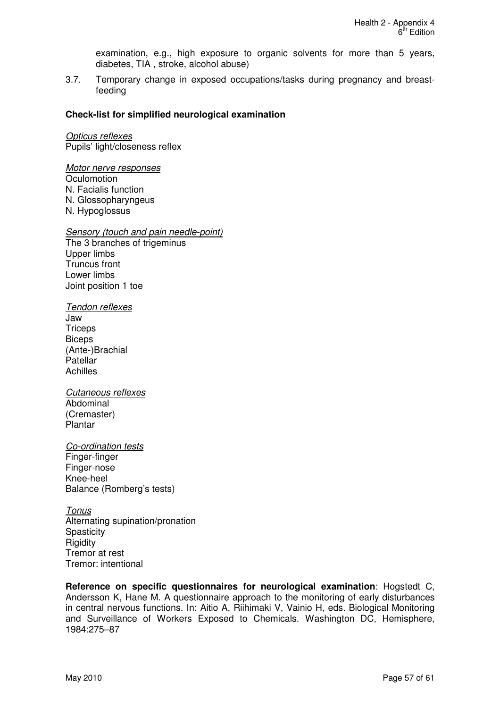examination, e.g., high exposure to organic solvents for more than 5 years, diabetes, TIA , stroke, alcohol abuse)

3.7. Temporary change in exposed occupations/tasks during pregnancy and breastfeeding

#### **Check-list for simplified neurological examination**

Opticus reflexes Pupils' light/closeness reflex

Motor nerve responses **Oculomotion** N. Facialis function N. Glossopharyngeus N. Hypoglossus

Sensory (touch and pain needle-point)

The 3 branches of trigeminus Upper limbs Truncus front Lower limbs Joint position 1 toe

Tendon reflexes

Jaw **Triceps Biceps** (Ante-)Brachial Patellar Achilles

Cutaneous reflexes Abdominal

(Cremaster) Plantar

Co-ordination tests

Finger-finger Finger-nose Knee-heel Balance (Romberg's tests)

Tonus Alternating supination/pronation **Spasticity Rigidity** Tremor at rest Tremor: intentional

**Reference on specific questionnaires for neurological examination**: Hogstedt C, Andersson K, Hane M. A questionnaire approach to the monitoring of early disturbances in central nervous functions. In: Aitio A, Riihimaki V, Vainio H, eds. Biological Monitoring and Surveillance of Workers Exposed to Chemicals. Washington DC, Hemisphere, 1984:275–87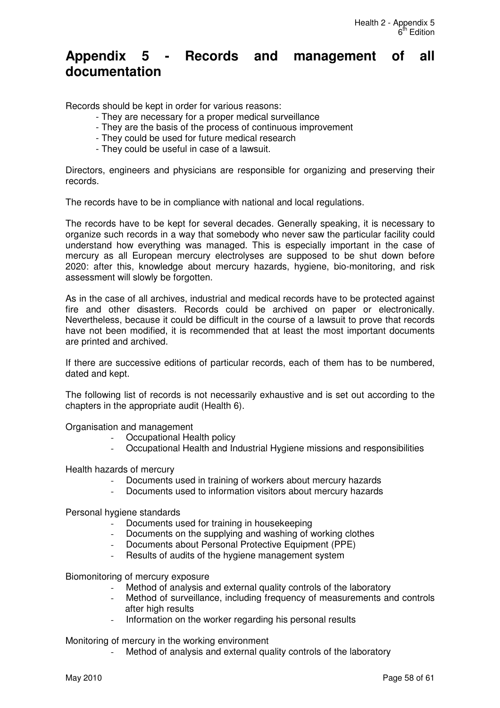## **Appendix 5 - Records and management of all documentation**

Records should be kept in order for various reasons:

- They are necessary for a proper medical surveillance
- They are the basis of the process of continuous improvement
- They could be used for future medical research
- They could be useful in case of a lawsuit.

Directors, engineers and physicians are responsible for organizing and preserving their records.

The records have to be in compliance with national and local regulations.

The records have to be kept for several decades. Generally speaking, it is necessary to organize such records in a way that somebody who never saw the particular facility could understand how everything was managed. This is especially important in the case of mercury as all European mercury electrolyses are supposed to be shut down before 2020: after this, knowledge about mercury hazards, hygiene, bio-monitoring, and risk assessment will slowly be forgotten.

As in the case of all archives, industrial and medical records have to be protected against fire and other disasters. Records could be archived on paper or electronically. Nevertheless, because it could be difficult in the course of a lawsuit to prove that records have not been modified, it is recommended that at least the most important documents are printed and archived.

If there are successive editions of particular records, each of them has to be numbered, dated and kept.

The following list of records is not necessarily exhaustive and is set out according to the chapters in the appropriate audit (Health 6).

Organisation and management

- Occupational Health policy
- Occupational Health and Industrial Hygiene missions and responsibilities

Health hazards of mercury

- Documents used in training of workers about mercury hazards
- Documents used to information visitors about mercury hazards

Personal hygiene standards

- Documents used for training in housekeeping
- Documents on the supplying and washing of working clothes
- Documents about Personal Protective Equipment (PPE)
- Results of audits of the hygiene management system

Biomonitoring of mercury exposure

- Method of analysis and external quality controls of the laboratory
- Method of surveillance, including frequency of measurements and controls after high results
- Information on the worker regarding his personal results

Monitoring of mercury in the working environment

Method of analysis and external quality controls of the laboratory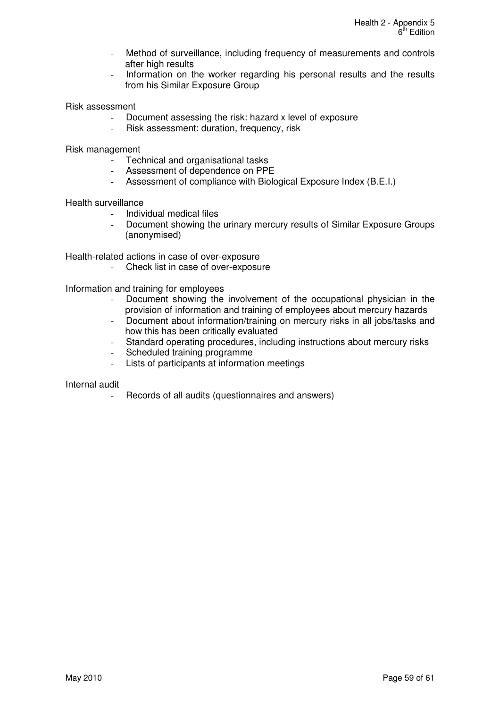- Method of surveillance, including frequency of measurements and controls after high results
- Information on the worker regarding his personal results and the results from his Similar Exposure Group

Risk assessment

- Document assessing the risk: hazard x level of exposure
- Risk assessment: duration, frequency, risk

Risk management

- Technical and organisational tasks
- Assessment of dependence on PPE
- Assessment of compliance with Biological Exposure Index (B.E.I.)

Health surveillance

- Individual medical files
- Document showing the urinary mercury results of Similar Exposure Groups (anonymised)

Health-related actions in case of over-exposure

Check list in case of over-exposure

Information and training for employees

- Document showing the involvement of the occupational physician in the provision of information and training of employees about mercury hazards
- Document about information/training on mercury risks in all jobs/tasks and how this has been critically evaluated
- Standard operating procedures, including instructions about mercury risks
- Scheduled training programme
- Lists of participants at information meetings

Internal audit

Records of all audits (questionnaires and answers)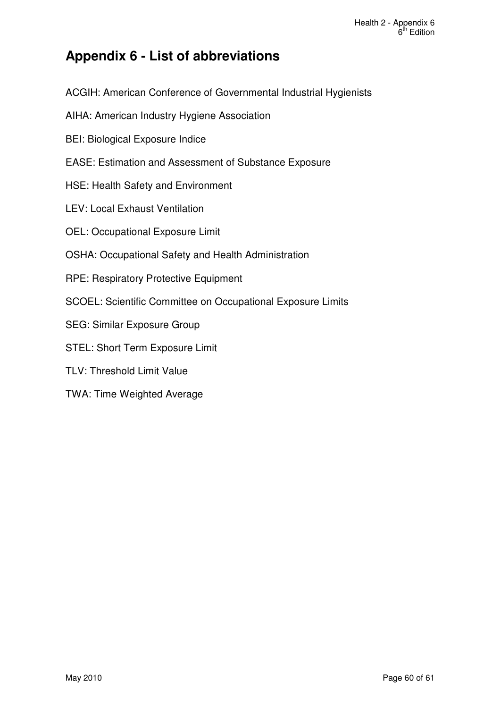## **Appendix 6 - List of abbreviations**

- ACGIH: American Conference of Governmental Industrial Hygienists
- AIHA: American Industry Hygiene Association
- BEI: Biological Exposure Indice
- EASE: Estimation and Assessment of Substance Exposure
- HSE: Health Safety and Environment
- LEV: Local Exhaust Ventilation
- OEL: Occupational Exposure Limit
- OSHA: Occupational Safety and Health Administration
- RPE: Respiratory Protective Equipment
- SCOEL: Scientific Committee on Occupational Exposure Limits
- SEG: Similar Exposure Group
- STEL: Short Term Exposure Limit
- TLV: Threshold Limit Value
- TWA: Time Weighted Average